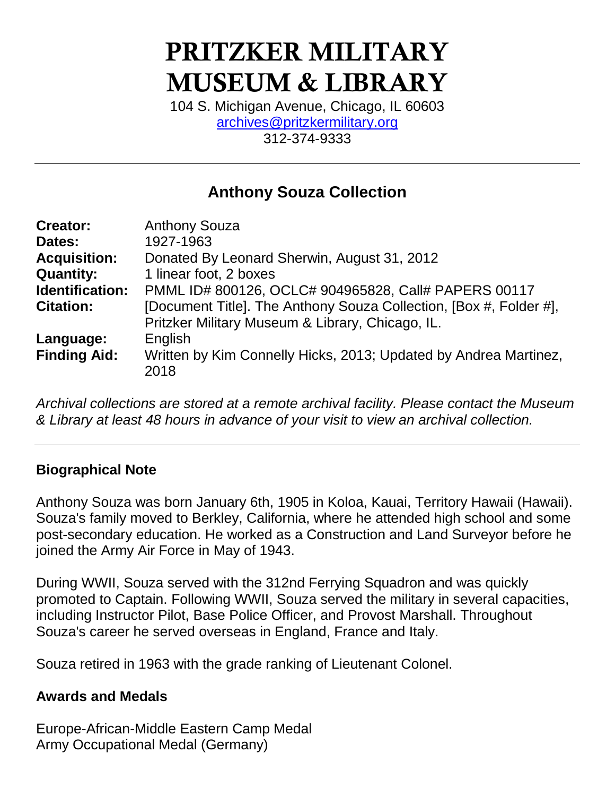# PRITZKER MILITARY MUSEUM & LIBRARY

104 S. Michigan Avenue, Chicago, IL 60603 [archives@pritzkermilitary.org](mailto:archives@pritzkermilitary.org) 312-374-9333

## **Anthony Souza Collection**

| 1927-1963<br>Dates:                                                                     |  |
|-----------------------------------------------------------------------------------------|--|
| <b>Acquisition:</b><br>Donated By Leonard Sherwin, August 31, 2012                      |  |
| <b>Quantity:</b><br>1 linear foot, 2 boxes                                              |  |
| <b>Identification:</b><br>PMML ID# 800126, OCLC# 904965828, Call# PAPERS 00117          |  |
| [Document Title]. The Anthony Souza Collection, [Box #, Folder #],<br><b>Citation:</b>  |  |
| Pritzker Military Museum & Library, Chicago, IL.                                        |  |
| English<br>Language:                                                                    |  |
| <b>Finding Aid:</b><br>Written by Kim Connelly Hicks, 2013; Updated by Andrea Martinez, |  |
| 2018                                                                                    |  |

*Archival collections are stored at a remote archival facility. Please contact the Museum & Library at least 48 hours in advance of your visit to view an archival collection.*

### **Biographical Note**

Anthony Souza was born January 6th, 1905 in Koloa, Kauai, Territory Hawaii (Hawaii). Souza's family moved to Berkley, California, where he attended high school and some post-secondary education. He worked as a Construction and Land Surveyor before he joined the Army Air Force in May of 1943.

During WWII, Souza served with the 312nd Ferrying Squadron and was quickly promoted to Captain. Following WWII, Souza served the military in several capacities, including Instructor Pilot, Base Police Officer, and Provost Marshall. Throughout Souza's career he served overseas in England, France and Italy.

Souza retired in 1963 with the grade ranking of Lieutenant Colonel.

### **Awards and Medals**

Europe-African-Middle Eastern Camp Medal Army Occupational Medal (Germany)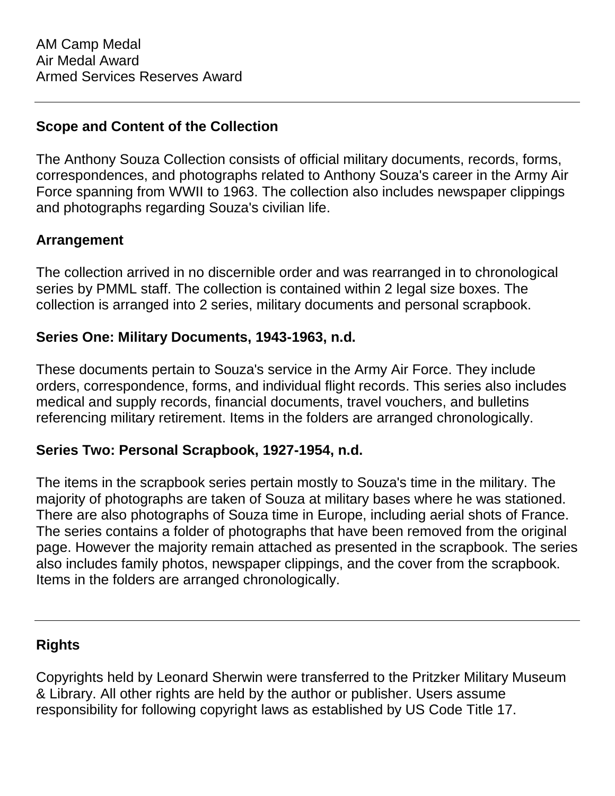#### **Scope and Content of the Collection**

The Anthony Souza Collection consists of official military documents, records, forms, correspondences, and photographs related to Anthony Souza's career in the Army Air Force spanning from WWII to 1963. The collection also includes newspaper clippings and photographs regarding Souza's civilian life.

#### **Arrangement**

The collection arrived in no discernible order and was rearranged in to chronological series by PMML staff. The collection is contained within 2 legal size boxes. The collection is arranged into 2 series, military documents and personal scrapbook.

#### **Series One: Military Documents, 1943-1963, n.d.**

These documents pertain to Souza's service in the Army Air Force. They include orders, correspondence, forms, and individual flight records. This series also includes medical and supply records, financial documents, travel vouchers, and bulletins referencing military retirement. Items in the folders are arranged chronologically.

#### **Series Two: Personal Scrapbook, 1927-1954, n.d.**

The items in the scrapbook series pertain mostly to Souza's time in the military. The majority of photographs are taken of Souza at military bases where he was stationed. There are also photographs of Souza time in Europe, including aerial shots of France. The series contains a folder of photographs that have been removed from the original page. However the majority remain attached as presented in the scrapbook. The series also includes family photos, newspaper clippings, and the cover from the scrapbook. Items in the folders are arranged chronologically.

### **Rights**

Copyrights held by Leonard Sherwin were transferred to the Pritzker Military Museum & Library. All other rights are held by the author or publisher. Users assume responsibility for following copyright laws as established by US Code Title 17.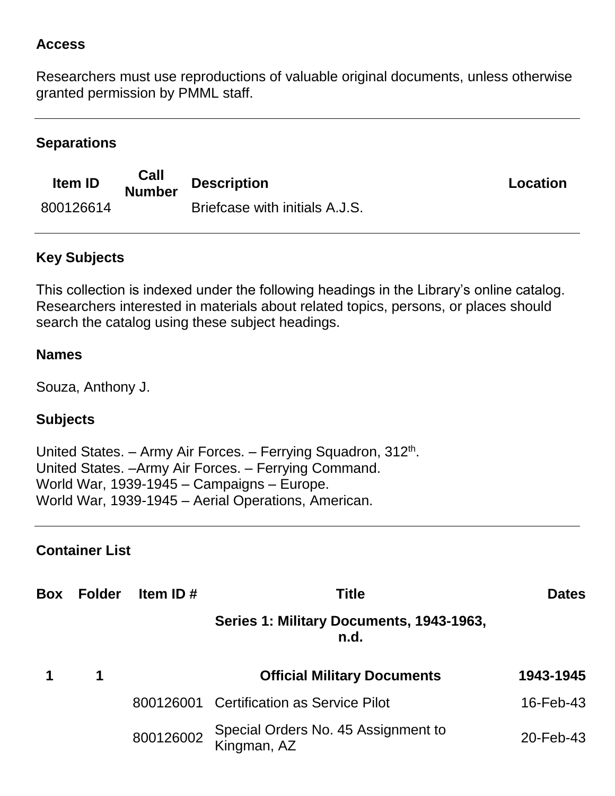#### **Access**

Researchers must use reproductions of valuable original documents, unless otherwise granted permission by PMML staff.

## **Separations**

| <b>Item ID</b> | Call<br><b>Number</b> | <b>Description</b>             | Location |
|----------------|-----------------------|--------------------------------|----------|
| 800126614      |                       | Briefcase with initials A.J.S. |          |

## **Key Subjects**

This collection is indexed under the following headings in the Library's online catalog. Researchers interested in materials about related topics, persons, or places should search the catalog using these subject headings.

#### **Names**

Souza, Anthony J.

## **Subjects**

United States. - Army Air Forces. - Ferrying Squadron, 312<sup>th</sup>. United States. –Army Air Forces. – Ferrying Command. World War, 1939-1945 – Campaigns – Europe. World War, 1939-1945 – Aerial Operations, American.

### **Container List**

| Box | <b>Folder</b> | Item ID $#$ | <b>Title</b>                                       | <b>Dates</b> |
|-----|---------------|-------------|----------------------------------------------------|--------------|
|     |               |             | Series 1: Military Documents, 1943-1963,<br>n.d.   |              |
|     | 1             |             | <b>Official Military Documents</b>                 | 1943-1945    |
|     |               |             | 800126001 Certification as Service Pilot           | 16-Feb-43    |
|     |               | 800126002   | Special Orders No. 45 Assignment to<br>Kingman, AZ | 20-Feb-43    |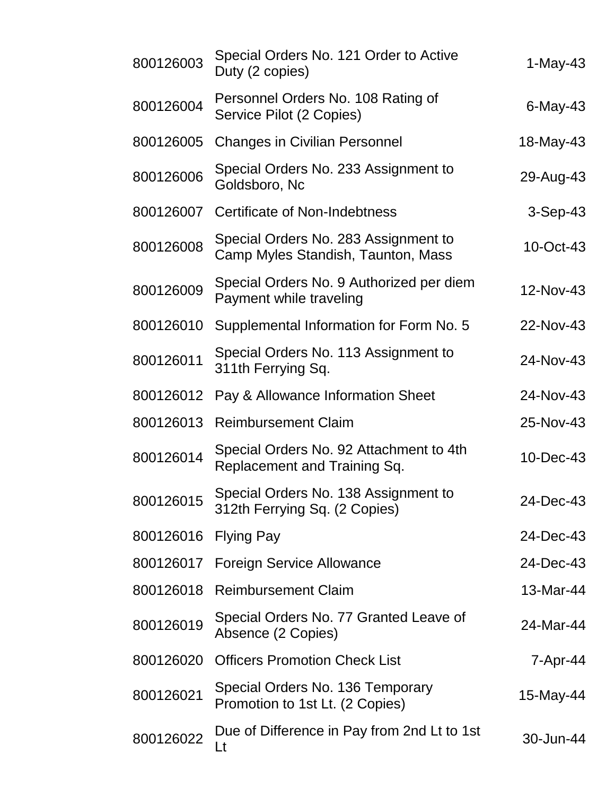| 800126003 | Special Orders No. 121 Order to Active<br>Duty (2 copies)                  | 1-May-43    |
|-----------|----------------------------------------------------------------------------|-------------|
| 800126004 | Personnel Orders No. 108 Rating of<br>Service Pilot (2 Copies)             | $6$ -May-43 |
| 800126005 | <b>Changes in Civilian Personnel</b>                                       | 18-May-43   |
| 800126006 | Special Orders No. 233 Assignment to<br>Goldsboro, Nc                      | 29-Aug-43   |
| 800126007 | <b>Certificate of Non-Indebtness</b>                                       | $3-Sep-43$  |
| 800126008 | Special Orders No. 283 Assignment to<br>Camp Myles Standish, Taunton, Mass | 10-Oct-43   |
| 800126009 | Special Orders No. 9 Authorized per diem<br>Payment while traveling        | 12-Nov-43   |
| 800126010 | Supplemental Information for Form No. 5                                    | 22-Nov-43   |
| 800126011 | Special Orders No. 113 Assignment to<br>311th Ferrying Sq.                 | 24-Nov-43   |
| 800126012 | Pay & Allowance Information Sheet                                          | 24-Nov-43   |
| 800126013 | <b>Reimbursement Claim</b>                                                 | 25-Nov-43   |
| 800126014 | Special Orders No. 92 Attachment to 4th<br>Replacement and Training Sq.    | 10-Dec-43   |
| 800126015 | Special Orders No. 138 Assignment to<br>312th Ferrying Sq. (2 Copies)      | 24-Dec-43   |
| 800126016 | <b>Flying Pay</b>                                                          | 24-Dec-43   |
| 800126017 | <b>Foreign Service Allowance</b>                                           | 24-Dec-43   |
| 800126018 | <b>Reimbursement Claim</b>                                                 | 13-Mar-44   |
| 800126019 | Special Orders No. 77 Granted Leave of<br>Absence (2 Copies)               | 24-Mar-44   |
| 800126020 | <b>Officers Promotion Check List</b>                                       | 7-Apr-44    |
| 800126021 | Special Orders No. 136 Temporary<br>Promotion to 1st Lt. (2 Copies)        | 15-May-44   |
| 800126022 | Due of Difference in Pay from 2nd Lt to 1st<br>Lt                          | 30-Jun-44   |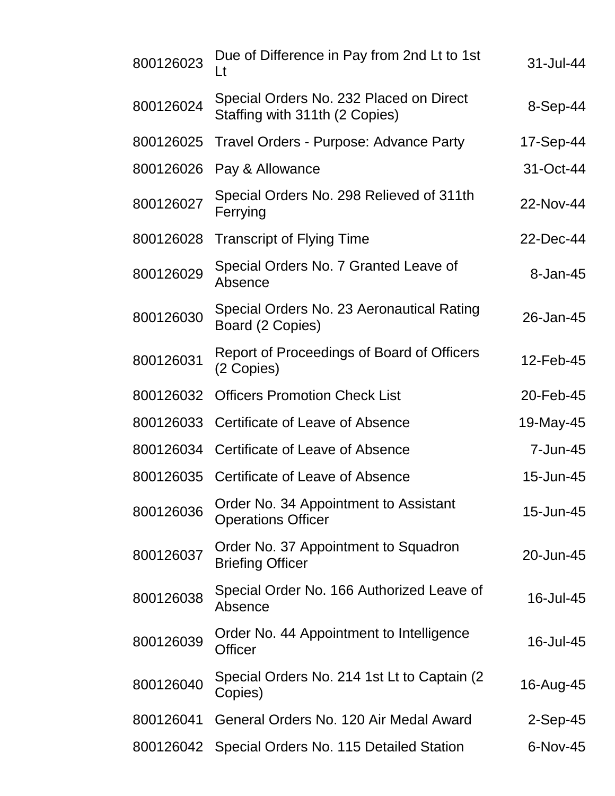| 800126023 | Due of Difference in Pay from 2nd Lt to 1st<br>Lt                         | 31-Jul-44  |
|-----------|---------------------------------------------------------------------------|------------|
| 800126024 | Special Orders No. 232 Placed on Direct<br>Staffing with 311th (2 Copies) | 8-Sep-44   |
| 800126025 | Travel Orders - Purpose: Advance Party                                    | 17-Sep-44  |
| 800126026 | Pay & Allowance                                                           | 31-Oct-44  |
| 800126027 | Special Orders No. 298 Relieved of 311th<br>Ferrying                      | 22-Nov-44  |
| 800126028 | <b>Transcript of Flying Time</b>                                          | 22-Dec-44  |
| 800126029 | Special Orders No. 7 Granted Leave of<br>Absence                          | 8-Jan-45   |
| 800126030 | Special Orders No. 23 Aeronautical Rating<br>Board (2 Copies)             | 26-Jan-45  |
| 800126031 | Report of Proceedings of Board of Officers<br>(2 Copies)                  | 12-Feb-45  |
| 800126032 | <b>Officers Promotion Check List</b>                                      | 20-Feb-45  |
| 800126033 | Certificate of Leave of Absence                                           | 19-May-45  |
|           | 800126034 Certificate of Leave of Absence                                 | 7-Jun-45   |
|           | 800126035 Certificate of Leave of Absence                                 | 15-Jun-45  |
| 800126036 | Order No. 34 Appointment to Assistant<br><b>Operations Officer</b>        | 15-Jun-45  |
| 800126037 | Order No. 37 Appointment to Squadron<br><b>Briefing Officer</b>           | 20-Jun-45  |
| 800126038 | Special Order No. 166 Authorized Leave of<br>Absence                      | 16-Jul-45  |
| 800126039 | Order No. 44 Appointment to Intelligence<br><b>Officer</b>                | 16-Jul-45  |
| 800126040 | Special Orders No. 214 1st Lt to Captain (2)<br>Copies)                   | 16-Aug-45  |
| 800126041 | General Orders No. 120 Air Medal Award                                    | $2-Sep-45$ |
| 800126042 | Special Orders No. 115 Detailed Station                                   | 6-Nov-45   |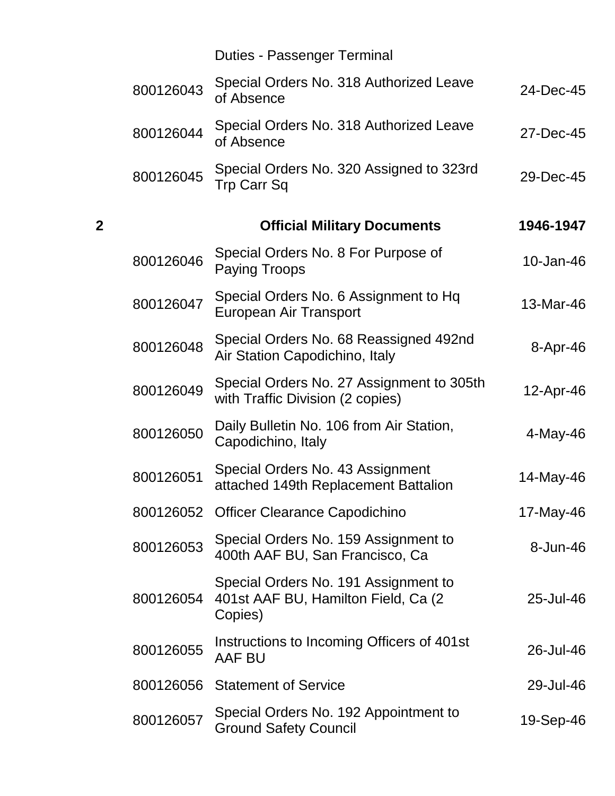|                |           | <b>Duties - Passenger Terminal</b>                                                      |           |
|----------------|-----------|-----------------------------------------------------------------------------------------|-----------|
|                | 800126043 | Special Orders No. 318 Authorized Leave<br>of Absence                                   | 24-Dec-45 |
|                | 800126044 | Special Orders No. 318 Authorized Leave<br>of Absence                                   | 27-Dec-45 |
|                | 800126045 | Special Orders No. 320 Assigned to 323rd<br>Trp Carr Sq                                 | 29-Dec-45 |
| $\overline{2}$ |           | <b>Official Military Documents</b>                                                      | 1946-1947 |
|                | 800126046 | Special Orders No. 8 For Purpose of<br><b>Paying Troops</b>                             | 10-Jan-46 |
|                | 800126047 | Special Orders No. 6 Assignment to Hq<br>European Air Transport                         | 13-Mar-46 |
|                | 800126048 | Special Orders No. 68 Reassigned 492nd<br>Air Station Capodichino, Italy                | 8-Apr-46  |
|                | 800126049 | Special Orders No. 27 Assignment to 305th<br>with Traffic Division (2 copies)           | 12-Apr-46 |
|                | 800126050 | Daily Bulletin No. 106 from Air Station,<br>Capodichino, Italy                          | 4-May-46  |
|                | 800126051 | Special Orders No. 43 Assignment<br>attached 149th Replacement Battalion                | 14-May-46 |
|                |           | 800126052 Officer Clearance Capodichino                                                 | 17-May-46 |
|                | 800126053 | Special Orders No. 159 Assignment to<br>400th AAF BU, San Francisco, Ca                 | 8-Jun-46  |
|                | 800126054 | Special Orders No. 191 Assignment to<br>401st AAF BU, Hamilton Field, Ca (2)<br>Copies) | 25-Jul-46 |
|                | 800126055 | Instructions to Incoming Officers of 401st<br><b>AAF BU</b>                             | 26-Jul-46 |
|                | 800126056 | <b>Statement of Service</b>                                                             | 29-Jul-46 |
|                | 800126057 | Special Orders No. 192 Appointment to<br><b>Ground Safety Council</b>                   | 19-Sep-46 |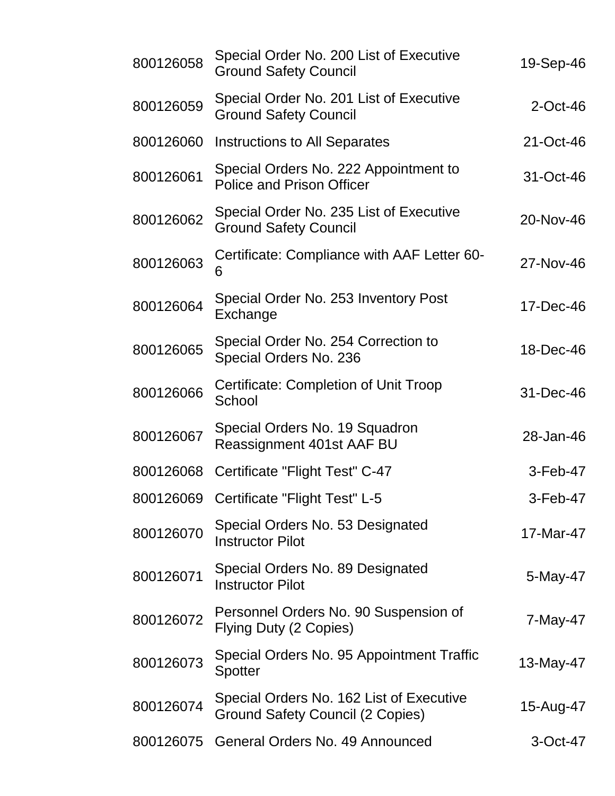| 800126058 | Special Order No. 200 List of Executive<br><b>Ground Safety Council</b>      | 19-Sep-46   |
|-----------|------------------------------------------------------------------------------|-------------|
| 800126059 | Special Order No. 201 List of Executive<br><b>Ground Safety Council</b>      | $2$ -Oct-46 |
| 800126060 | <b>Instructions to All Separates</b>                                         | 21-Oct-46   |
| 800126061 | Special Orders No. 222 Appointment to<br><b>Police and Prison Officer</b>    | 31-Oct-46   |
| 800126062 | Special Order No. 235 List of Executive<br><b>Ground Safety Council</b>      | 20-Nov-46   |
| 800126063 | Certificate: Compliance with AAF Letter 60-<br>6                             | 27-Nov-46   |
| 800126064 | Special Order No. 253 Inventory Post<br>Exchange                             | 17-Dec-46   |
| 800126065 | Special Order No. 254 Correction to<br>Special Orders No. 236                | 18-Dec-46   |
| 800126066 | Certificate: Completion of Unit Troop<br>School                              | 31-Dec-46   |
| 800126067 | Special Orders No. 19 Squadron<br>Reassignment 401st AAF BU                  | 28-Jan-46   |
| 800126068 | Certificate "Flight Test" C-47                                               | 3-Feb-47    |
|           | 800126069 Certificate "Flight Test" L-5                                      | 3-Feb-47    |
| 800126070 | Special Orders No. 53 Designated<br><b>Instructor Pilot</b>                  | 17-Mar-47   |
| 800126071 | Special Orders No. 89 Designated<br><b>Instructor Pilot</b>                  | 5-May-47    |
| 800126072 | Personnel Orders No. 90 Suspension of<br>Flying Duty (2 Copies)              | 7-May-47    |
| 800126073 | Special Orders No. 95 Appointment Traffic<br><b>Spotter</b>                  | 13-May-47   |
| 800126074 | Special Orders No. 162 List of Executive<br>Ground Safety Council (2 Copies) | 15-Aug-47   |
| 800126075 | General Orders No. 49 Announced                                              | 3-Oct-47    |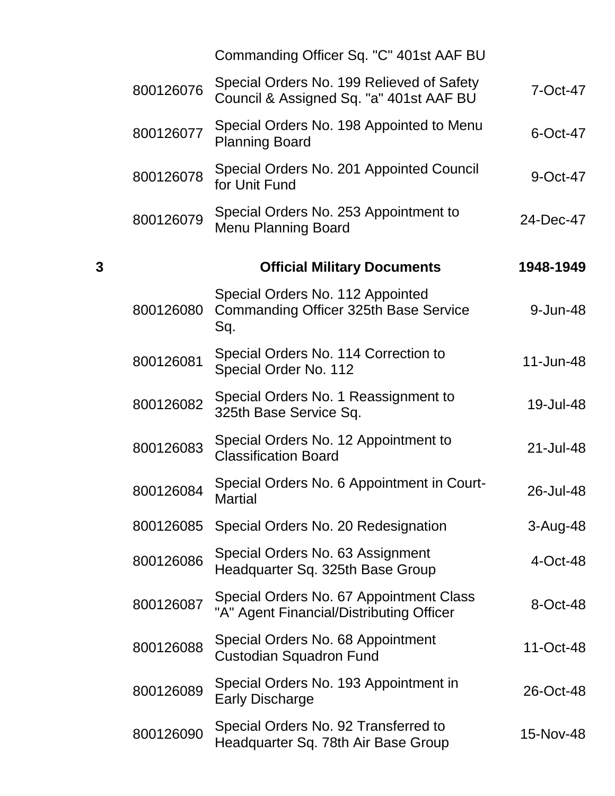|   |           | Commanding Officer Sq. "C" 401st AAF BU                                              |           |
|---|-----------|--------------------------------------------------------------------------------------|-----------|
|   | 800126076 | Special Orders No. 199 Relieved of Safety<br>Council & Assigned Sq. "a" 401st AAF BU | 7-Oct-47  |
|   | 800126077 | Special Orders No. 198 Appointed to Menu<br><b>Planning Board</b>                    | 6-Oct-47  |
|   | 800126078 | Special Orders No. 201 Appointed Council<br>for Unit Fund                            | 9-Oct-47  |
|   | 800126079 | Special Orders No. 253 Appointment to<br><b>Menu Planning Board</b>                  | 24-Dec-47 |
| 3 |           | <b>Official Military Documents</b>                                                   | 1948-1949 |
|   | 800126080 | Special Orders No. 112 Appointed<br>Commanding Officer 325th Base Service<br>Sq.     | 9-Jun-48  |
|   | 800126081 | Special Orders No. 114 Correction to<br>Special Order No. 112                        | 11-Jun-48 |
|   | 800126082 | Special Orders No. 1 Reassignment to<br>325th Base Service Sq.                       | 19-Jul-48 |
|   | 800126083 | Special Orders No. 12 Appointment to<br><b>Classification Board</b>                  | 21-Jul-48 |
|   | 800126084 | Special Orders No. 6 Appointment in Court-<br>Martial                                | 26-Jul-48 |
|   | 800126085 | Special Orders No. 20 Redesignation                                                  | 3-Aug-48  |
|   | 800126086 | Special Orders No. 63 Assignment<br>Headquarter Sq. 325th Base Group                 | 4-Oct-48  |
|   | 800126087 | Special Orders No. 67 Appointment Class<br>"A" Agent Financial/Distributing Officer  | 8-Oct-48  |
|   | 800126088 | Special Orders No. 68 Appointment<br><b>Custodian Squadron Fund</b>                  | 11-Oct-48 |
|   | 800126089 | Special Orders No. 193 Appointment in<br><b>Early Discharge</b>                      | 26-Oct-48 |
|   | 800126090 | Special Orders No. 92 Transferred to<br>Headquarter Sq. 78th Air Base Group          | 15-Nov-48 |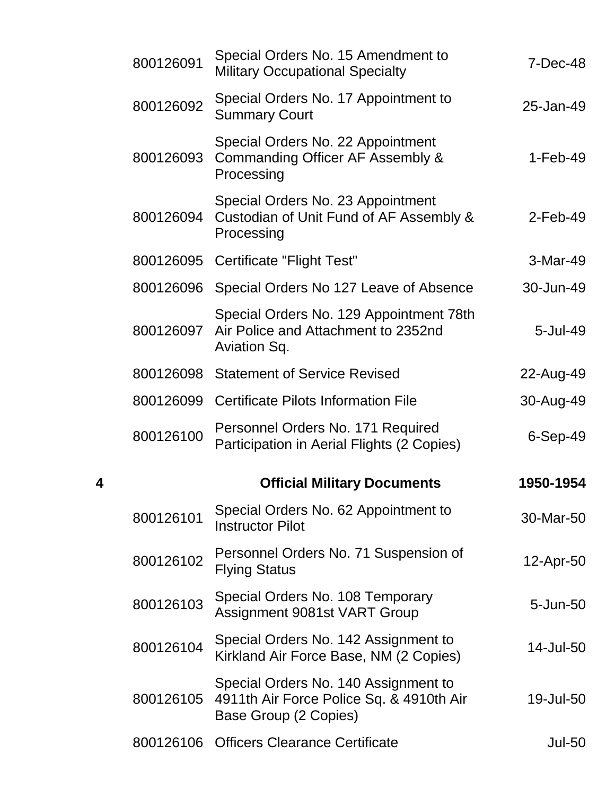|   | 800126091 | Special Orders No. 15 Amendment to<br><b>Military Occupational Specialty</b>                              | $7-Dec-48$  |
|---|-----------|-----------------------------------------------------------------------------------------------------------|-------------|
|   | 800126092 | Special Orders No. 17 Appointment to<br><b>Summary Court</b>                                              | 25-Jan-49   |
|   | 800126093 | Special Orders No. 22 Appointment<br>Commanding Officer AF Assembly &<br>Processing                       | $1-Feb-49$  |
|   | 800126094 | Special Orders No. 23 Appointment<br>Custodian of Unit Fund of AF Assembly &<br>Processing                | $2$ -Feb-49 |
|   |           | 800126095 Certificate "Flight Test"                                                                       | 3-Mar-49    |
|   |           | 800126096 Special Orders No 127 Leave of Absence                                                          | 30-Jun-49   |
|   | 800126097 | Special Orders No. 129 Appointment 78th<br>Air Police and Attachment to 2352nd<br>Aviation Sq.            | 5-Jul-49    |
|   |           | 800126098 Statement of Service Revised                                                                    | 22-Aug-49   |
|   |           | 800126099 Certificate Pilots Information File                                                             | 30-Aug-49   |
|   |           |                                                                                                           |             |
|   | 800126100 | Personnel Orders No. 171 Required<br>Participation in Aerial Flights (2 Copies)                           | $6-Sep-49$  |
| 4 |           | <b>Official Military Documents</b>                                                                        | 1950-1954   |
|   | 800126101 | Special Orders No. 62 Appointment to<br><b>Instructor Pilot</b>                                           | 30-Mar-50   |
|   | 800126102 | Personnel Orders No. 71 Suspension of<br><b>Flying Status</b>                                             | 12-Apr-50   |
|   | 800126103 | Special Orders No. 108 Temporary<br>Assignment 9081st VART Group                                          | 5-Jun-50    |
|   | 800126104 | Special Orders No. 142 Assignment to<br>Kirkland Air Force Base, NM (2 Copies)                            | 14-Jul-50   |
|   | 800126105 | Special Orders No. 140 Assignment to<br>4911th Air Force Police Sq. & 4910th Air<br>Base Group (2 Copies) | 19-Jul-50   |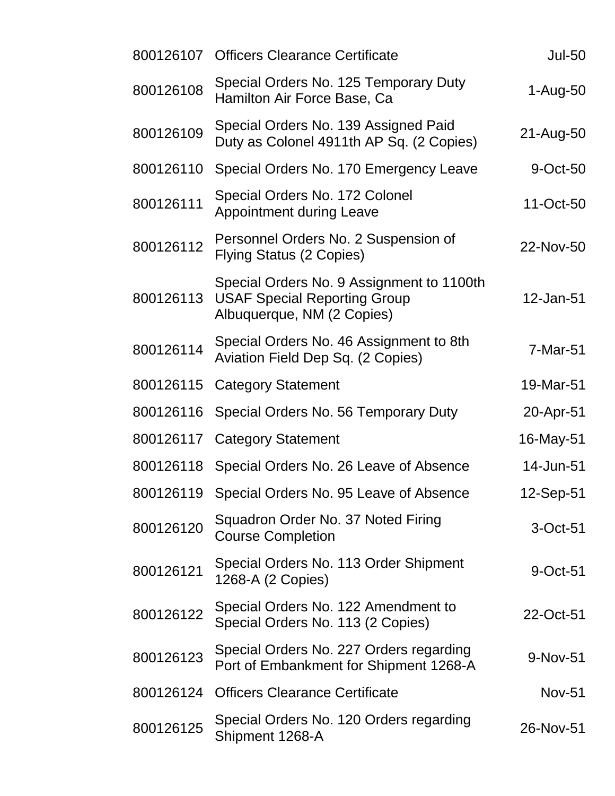| 800126107 | <b>Officers Clearance Certificate</b>                                                                          | <b>Jul-50</b> |
|-----------|----------------------------------------------------------------------------------------------------------------|---------------|
| 800126108 | Special Orders No. 125 Temporary Duty<br>Hamilton Air Force Base, Ca                                           | $1-Aug-50$    |
| 800126109 | Special Orders No. 139 Assigned Paid<br>Duty as Colonel 4911th AP Sq. (2 Copies)                               | 21-Aug-50     |
| 800126110 | Special Orders No. 170 Emergency Leave                                                                         | 9-Oct-50      |
| 800126111 | Special Orders No. 172 Colonel<br><b>Appointment during Leave</b>                                              | 11-Oct-50     |
| 800126112 | Personnel Orders No. 2 Suspension of<br><b>Flying Status (2 Copies)</b>                                        | 22-Nov-50     |
| 800126113 | Special Orders No. 9 Assignment to 1100th<br><b>USAF Special Reporting Group</b><br>Albuquerque, NM (2 Copies) | 12-Jan-51     |
| 800126114 | Special Orders No. 46 Assignment to 8th<br>Aviation Field Dep Sq. (2 Copies)                                   | 7-Mar-51      |
| 800126115 | <b>Category Statement</b>                                                                                      | 19-Mar-51     |
| 800126116 | Special Orders No. 56 Temporary Duty                                                                           | 20-Apr-51     |
| 800126117 | <b>Category Statement</b>                                                                                      | 16-May-51     |
| 800126118 | Special Orders No. 26 Leave of Absence                                                                         | 14-Jun-51     |
| 800126119 | Special Orders No. 95 Leave of Absence                                                                         | 12-Sep-51     |
| 800126120 | Squadron Order No. 37 Noted Firing<br><b>Course Completion</b>                                                 | $3-Oct-51$    |
| 800126121 | Special Orders No. 113 Order Shipment<br>1268-A (2 Copies)                                                     | 9-Oct-51      |
| 800126122 | Special Orders No. 122 Amendment to<br>Special Orders No. 113 (2 Copies)                                       | 22-Oct-51     |
| 800126123 | Special Orders No. 227 Orders regarding<br>Port of Embankment for Shipment 1268-A                              | 9-Nov-51      |
| 800126124 | <b>Officers Clearance Certificate</b>                                                                          | <b>Nov-51</b> |
| 800126125 | Special Orders No. 120 Orders regarding<br>Shipment 1268-A                                                     | 26-Nov-51     |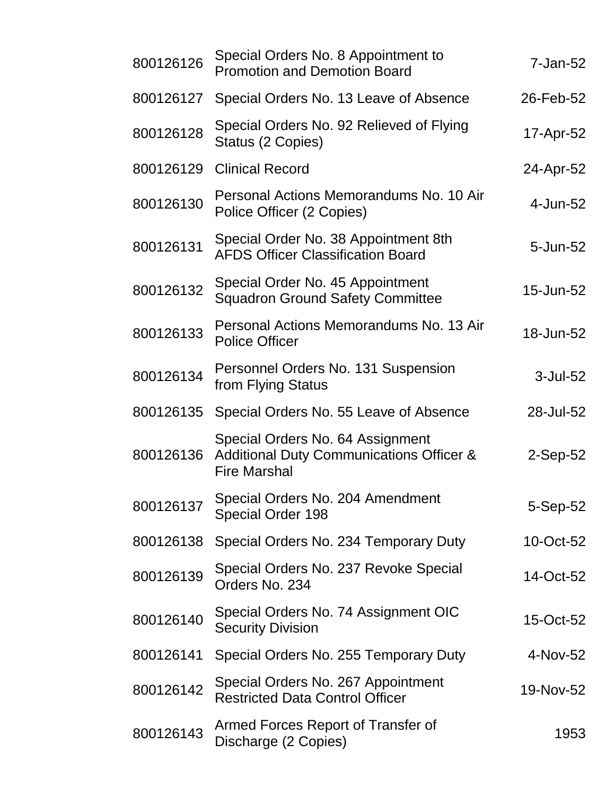| 800126126 | Special Orders No. 8 Appointment to<br><b>Promotion and Demotion Board</b>                                     | 7-Jan-52   |
|-----------|----------------------------------------------------------------------------------------------------------------|------------|
| 800126127 | Special Orders No. 13 Leave of Absence                                                                         | 26-Feb-52  |
| 800126128 | Special Orders No. 92 Relieved of Flying<br>Status (2 Copies)                                                  | 17-Apr-52  |
| 800126129 | <b>Clinical Record</b>                                                                                         | 24-Apr-52  |
| 800126130 | Personal Actions Memorandums No. 10 Air<br>Police Officer (2 Copies)                                           | 4-Jun-52   |
| 800126131 | Special Order No. 38 Appointment 8th<br><b>AFDS Officer Classification Board</b>                               | 5-Jun-52   |
| 800126132 | Special Order No. 45 Appointment<br><b>Squadron Ground Safety Committee</b>                                    | 15-Jun-52  |
| 800126133 | Personal Actions Memorandums No. 13 Air<br><b>Police Officer</b>                                               | 18-Jun-52  |
| 800126134 | Personnel Orders No. 131 Suspension<br>from Flying Status                                                      | 3-Jul-52   |
| 800126135 | Special Orders No. 55 Leave of Absence                                                                         | 28-Jul-52  |
| 800126136 | Special Orders No. 64 Assignment<br><b>Additional Duty Communications Officer &amp;</b><br><b>Fire Marshal</b> | $2-Sep-52$ |
| 800126137 | Special Orders No. 204 Amendment<br><b>Special Order 198</b>                                                   | 5-Sep-52   |
| 800126138 | Special Orders No. 234 Temporary Duty                                                                          | 10-Oct-52  |
| 800126139 | Special Orders No. 237 Revoke Special<br>Orders No. 234                                                        | 14-Oct-52  |
| 800126140 | Special Orders No. 74 Assignment OIC<br><b>Security Division</b>                                               | 15-Oct-52  |
| 800126141 | Special Orders No. 255 Temporary Duty                                                                          | 4-Nov-52   |
| 800126142 | Special Orders No. 267 Appointment<br><b>Restricted Data Control Officer</b>                                   | 19-Nov-52  |
| 800126143 | Armed Forces Report of Transfer of<br>Discharge (2 Copies)                                                     | 1953       |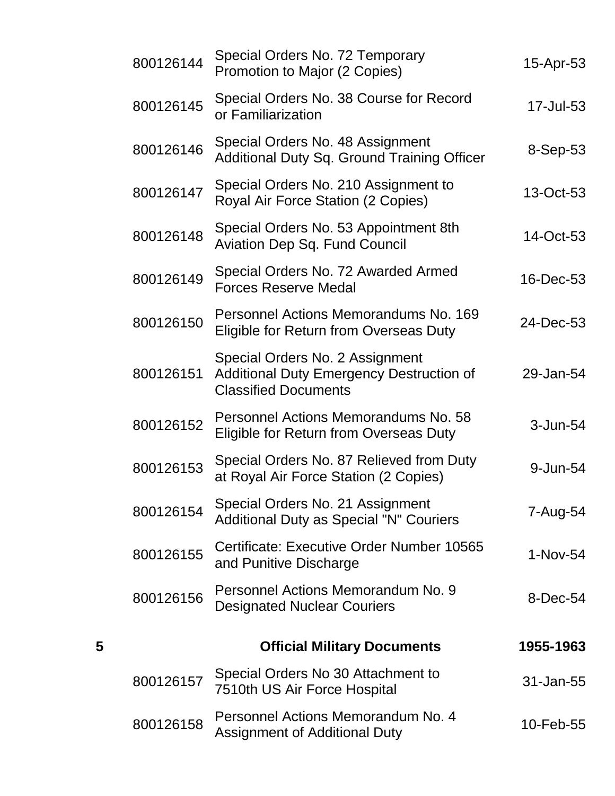|   | 800126144 | Special Orders No. 72 Temporary<br>Promotion to Major (2 Copies)                                                  | 15-Apr-53 |
|---|-----------|-------------------------------------------------------------------------------------------------------------------|-----------|
|   | 800126145 | Special Orders No. 38 Course for Record<br>or Familiarization                                                     | 17-Jul-53 |
|   | 800126146 | Special Orders No. 48 Assignment<br><b>Additional Duty Sq. Ground Training Officer</b>                            | 8-Sep-53  |
|   | 800126147 | Special Orders No. 210 Assignment to<br>Royal Air Force Station (2 Copies)                                        | 13-Oct-53 |
|   | 800126148 | Special Orders No. 53 Appointment 8th<br><b>Aviation Dep Sq. Fund Council</b>                                     | 14-Oct-53 |
|   | 800126149 | Special Orders No. 72 Awarded Armed<br><b>Forces Reserve Medal</b>                                                | 16-Dec-53 |
|   | 800126150 | Personnel Actions Memorandums No. 169<br>Eligible for Return from Overseas Duty                                   | 24-Dec-53 |
|   | 800126151 | Special Orders No. 2 Assignment<br><b>Additional Duty Emergency Destruction of</b><br><b>Classified Documents</b> | 29-Jan-54 |
|   | 800126152 | Personnel Actions Memorandums No. 58<br>Eligible for Return from Overseas Duty                                    | 3-Jun-54  |
|   | 800126153 | Special Orders No. 87 Relieved from Duty<br>at Royal Air Force Station (2 Copies)                                 | 9-Jun-54  |
|   | 800126154 | Special Orders No. 21 Assignment<br><b>Additional Duty as Special "N" Couriers</b>                                | 7-Aug-54  |
|   | 800126155 | Certificate: Executive Order Number 10565<br>and Punitive Discharge                                               | 1-Nov-54  |
|   | 800126156 | Personnel Actions Memorandum No. 9<br><b>Designated Nuclear Couriers</b>                                          | 8-Dec-54  |
| 5 |           | <b>Official Military Documents</b>                                                                                | 1955-1963 |
|   | 800126157 | Special Orders No 30 Attachment to<br>7510th US Air Force Hospital                                                | 31-Jan-55 |
|   | 800126158 | Personnel Actions Memorandum No. 4<br><b>Assignment of Additional Duty</b>                                        | 10-Feb-55 |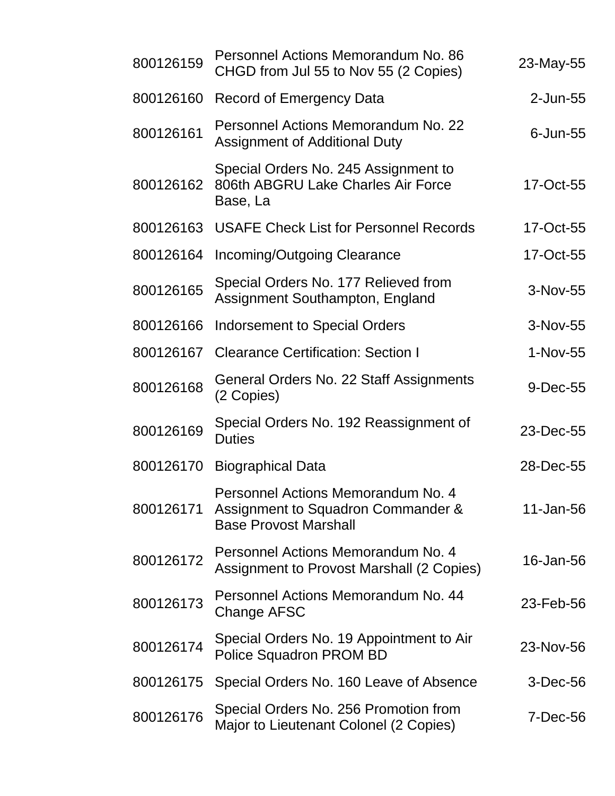| 800126159 | Personnel Actions Memorandum No. 86<br>CHGD from Jul 55 to Nov 55 (2 Copies)                             | 23-May-55      |
|-----------|----------------------------------------------------------------------------------------------------------|----------------|
| 800126160 | <b>Record of Emergency Data</b>                                                                          | 2-Jun-55       |
| 800126161 | Personnel Actions Memorandum No. 22<br>Assignment of Additional Duty                                     | $6$ -Jun- $55$ |
| 800126162 | Special Orders No. 245 Assignment to<br>806th ABGRU Lake Charles Air Force<br>Base, La                   | 17-Oct-55      |
| 800126163 | <b>USAFE Check List for Personnel Records</b>                                                            | 17-Oct-55      |
| 800126164 | Incoming/Outgoing Clearance                                                                              | 17-Oct-55      |
| 800126165 | Special Orders No. 177 Relieved from<br>Assignment Southampton, England                                  | 3-Nov-55       |
| 800126166 | <b>Indorsement to Special Orders</b>                                                                     | 3-Nov-55       |
| 800126167 | <b>Clearance Certification: Section I</b>                                                                | 1-Nov-55       |
| 800126168 | General Orders No. 22 Staff Assignments<br>(2 Copies)                                                    | 9-Dec-55       |
| 800126169 | Special Orders No. 192 Reassignment of<br><b>Duties</b>                                                  | 23-Dec-55      |
| 800126170 | <b>Biographical Data</b>                                                                                 | 28-Dec-55      |
| 800126171 | Personnel Actions Memorandum No. 4<br>Assignment to Squadron Commander &<br><b>Base Provost Marshall</b> | 11-Jan-56      |
| 800126172 | Personnel Actions Memorandum No. 4<br><b>Assignment to Provost Marshall (2 Copies)</b>                   | 16-Jan-56      |
| 800126173 | Personnel Actions Memorandum No. 44<br>Change AFSC                                                       | 23-Feb-56      |
| 800126174 | Special Orders No. 19 Appointment to Air<br>Police Squadron PROM BD                                      | 23-Nov-56      |
| 800126175 | Special Orders No. 160 Leave of Absence                                                                  | $3-Dec-56$     |
| 800126176 | Special Orders No. 256 Promotion from<br>Major to Lieutenant Colonel (2 Copies)                          | 7-Dec-56       |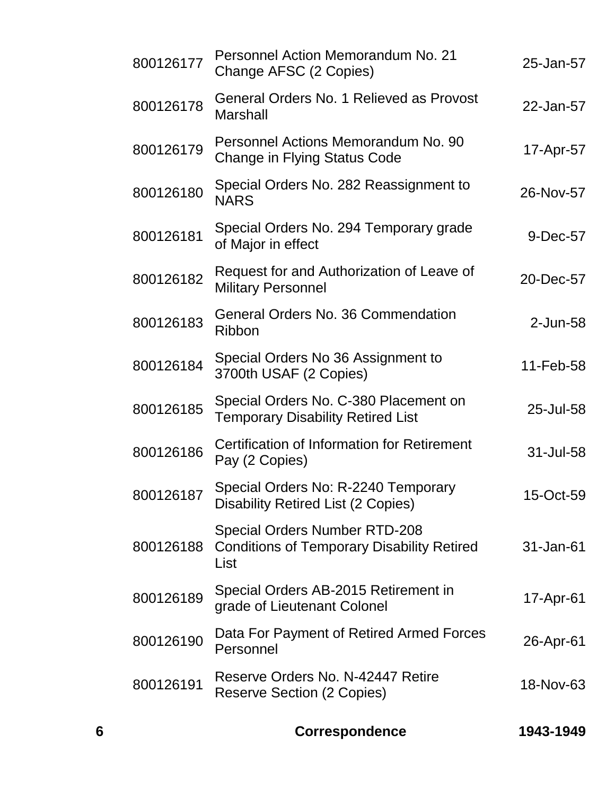| 800126177 | Personnel Action Memorandum No. 21<br>Change AFSC (2 Copies)                                      | 25-Jan-57 |
|-----------|---------------------------------------------------------------------------------------------------|-----------|
| 800126178 | General Orders No. 1 Relieved as Provost<br><b>Marshall</b>                                       | 22-Jan-57 |
| 800126179 | Personnel Actions Memorandum No. 90<br>Change in Flying Status Code                               | 17-Apr-57 |
| 800126180 | Special Orders No. 282 Reassignment to<br><b>NARS</b>                                             | 26-Nov-57 |
| 800126181 | Special Orders No. 294 Temporary grade<br>of Major in effect                                      | 9-Dec-57  |
| 800126182 | Request for and Authorization of Leave of<br><b>Military Personnel</b>                            | 20-Dec-57 |
| 800126183 | General Orders No. 36 Commendation<br>Ribbon                                                      | 2-Jun-58  |
| 800126184 | Special Orders No 36 Assignment to<br>3700th USAF (2 Copies)                                      | 11-Feb-58 |
| 800126185 | Special Orders No. C-380 Placement on<br><b>Temporary Disability Retired List</b>                 | 25-Jul-58 |
| 800126186 | <b>Certification of Information for Retirement</b><br>Pay (2 Copies)                              | 31-Jul-58 |
| 800126187 | Special Orders No: R-2240 Temporary<br><b>Disability Retired List (2 Copies)</b>                  | 15-Oct-59 |
| 800126188 | <b>Special Orders Number RTD-208</b><br><b>Conditions of Temporary Disability Retired</b><br>List | 31-Jan-61 |
| 800126189 | Special Orders AB-2015 Retirement in<br>grade of Lieutenant Colonel                               | 17-Apr-61 |
| 800126190 | Data For Payment of Retired Armed Forces<br>Personnel                                             | 26-Apr-61 |
| 800126191 | Reserve Orders No. N-42447 Retire<br>Reserve Section (2 Copies)                                   | 18-Nov-63 |
|           |                                                                                                   |           |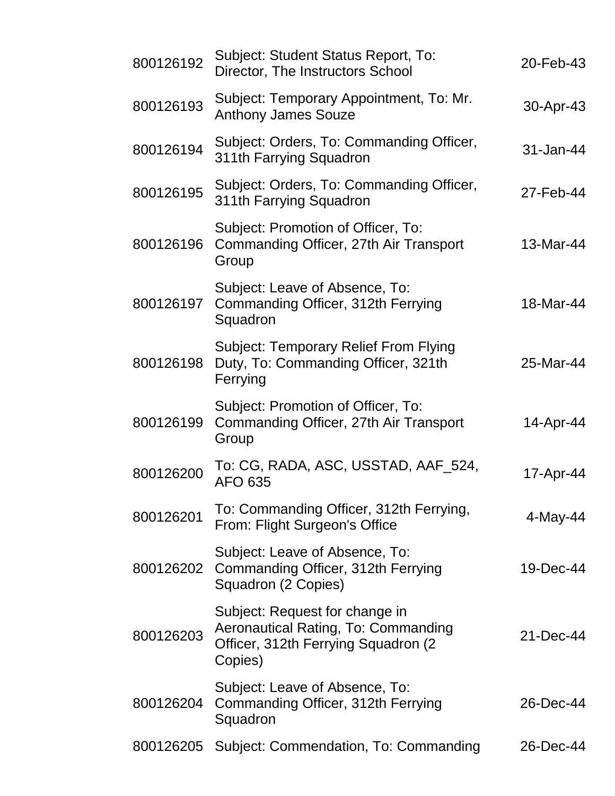| 800126192 | Subject: Student Status Report, To:<br>Director, The Instructors School                                                 | 20-Feb-43   |
|-----------|-------------------------------------------------------------------------------------------------------------------------|-------------|
| 800126193 | Subject: Temporary Appointment, To: Mr.<br><b>Anthony James Souze</b>                                                   | 30-Apr-43   |
| 800126194 | Subject: Orders, To: Commanding Officer,<br>311th Farrying Squadron                                                     | 31-Jan-44   |
| 800126195 | Subject: Orders, To: Commanding Officer,<br>311th Farrying Squadron                                                     | 27-Feb-44   |
| 800126196 | Subject: Promotion of Officer, To:<br>Commanding Officer, 27th Air Transport<br>Group                                   | 13-Mar-44   |
| 800126197 | Subject: Leave of Absence, To:<br>Commanding Officer, 312th Ferrying<br>Squadron                                        | 18-Mar-44   |
| 800126198 | <b>Subject: Temporary Relief From Flying</b><br>Duty, To: Commanding Officer, 321th<br>Ferrying                         | 25-Mar-44   |
| 800126199 | Subject: Promotion of Officer, To:<br>Commanding Officer, 27th Air Transport<br>Group                                   | 14-Apr-44   |
| 800126200 | To: CG, RADA, ASC, USSTAD, AAF_524,<br>AFO 635                                                                          | 17-Apr-44   |
| 800126201 | To: Commanding Officer, 312th Ferrying,<br>From: Flight Surgeon's Office                                                | $4$ -May-44 |
| 800126202 | Subject: Leave of Absence, To:<br>Commanding Officer, 312th Ferrying<br>Squadron (2 Copies)                             | 19-Dec-44   |
| 800126203 | Subject: Request for change in<br>Aeronautical Rating, To: Commanding<br>Officer, 312th Ferrying Squadron (2<br>Copies) | 21-Dec-44   |
| 800126204 | Subject: Leave of Absence, To:<br>Commanding Officer, 312th Ferrying<br>Squadron                                        | 26-Dec-44   |
| 800126205 | Subject: Commendation, To: Commanding                                                                                   | 26-Dec-44   |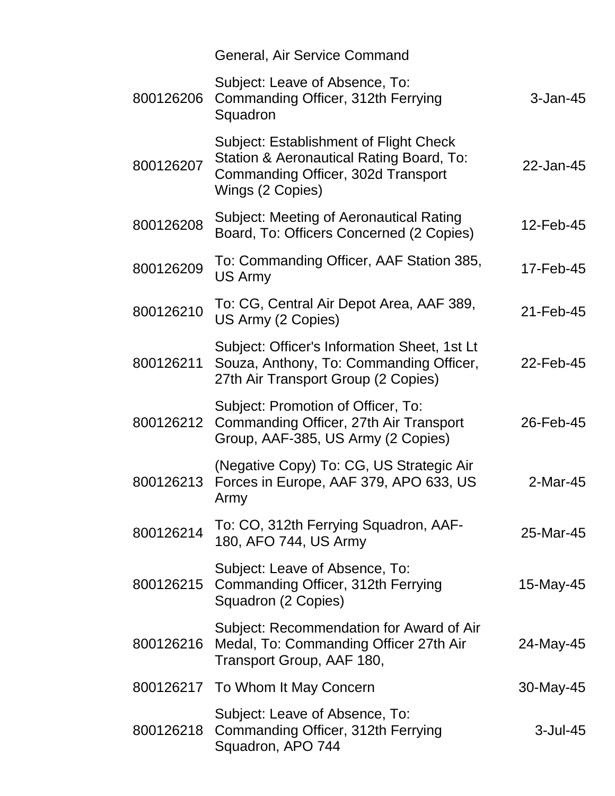|           | General, Air Service Command                                                                                                                 |              |
|-----------|----------------------------------------------------------------------------------------------------------------------------------------------|--------------|
| 800126206 | Subject: Leave of Absence, To:<br>Commanding Officer, 312th Ferrying<br>Squadron                                                             | $3 - Jan-45$ |
| 800126207 | Subject: Establishment of Flight Check<br>Station & Aeronautical Rating Board, To:<br>Commanding Officer, 302d Transport<br>Wings (2 Copies) | 22-Jan-45    |
| 800126208 | Subject: Meeting of Aeronautical Rating<br>Board, To: Officers Concerned (2 Copies)                                                          | 12-Feb-45    |
| 800126209 | To: Commanding Officer, AAF Station 385,<br>US Army                                                                                          | 17-Feb-45    |
| 800126210 | To: CG, Central Air Depot Area, AAF 389,<br>US Army (2 Copies)                                                                               | 21-Feb-45    |
| 800126211 | Subject: Officer's Information Sheet, 1st Lt<br>Souza, Anthony, To: Commanding Officer,<br>27th Air Transport Group (2 Copies)               | 22-Feb-45    |
| 800126212 | Subject: Promotion of Officer, To:<br>Commanding Officer, 27th Air Transport<br>Group, AAF-385, US Army (2 Copies)                           | 26-Feb-45    |
| 800126213 | (Negative Copy) To: CG, US Strategic Air<br>Forces in Europe, AAF 379, APO 633, US<br>Army                                                   | 2-Mar-45     |
| 800126214 | To: CO, 312th Ferrying Squadron, AAF-<br>180, AFO 744, US Army                                                                               | 25-Mar-45    |
| 800126215 | Subject: Leave of Absence, To:<br>Commanding Officer, 312th Ferrying<br>Squadron (2 Copies)                                                  | 15-May-45    |
| 800126216 | Subject: Recommendation for Award of Air<br>Medal, To: Commanding Officer 27th Air<br>Transport Group, AAF 180,                              | 24-May-45    |
|           | 800126217 To Whom It May Concern                                                                                                             | 30-May-45    |
| 800126218 | Subject: Leave of Absence, To:<br>Commanding Officer, 312th Ferrying<br>Squadron, APO 744                                                    | $3$ -Jul-45  |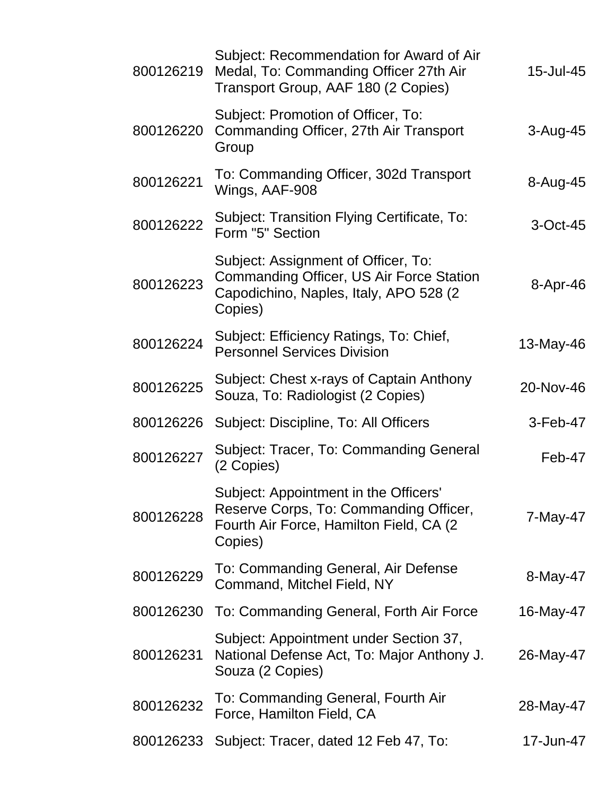| 800126219 | Subject: Recommendation for Award of Air<br>Medal, To: Commanding Officer 27th Air<br>Transport Group, AAF 180 (2 Copies)              | 15-Jul-45    |
|-----------|----------------------------------------------------------------------------------------------------------------------------------------|--------------|
| 800126220 | Subject: Promotion of Officer, To:<br>Commanding Officer, 27th Air Transport<br>Group                                                  | $3 - Aug-45$ |
| 800126221 | To: Commanding Officer, 302d Transport<br>Wings, AAF-908                                                                               | 8-Aug-45     |
| 800126222 | Subject: Transition Flying Certificate, To:<br>Form "5" Section                                                                        | $3-Oct-45$   |
| 800126223 | Subject: Assignment of Officer, To:<br>Commanding Officer, US Air Force Station<br>Capodichino, Naples, Italy, APO 528 (2)<br>Copies)  | 8-Apr-46     |
| 800126224 | Subject: Efficiency Ratings, To: Chief,<br><b>Personnel Services Division</b>                                                          | 13-May-46    |
| 800126225 | Subject: Chest x-rays of Captain Anthony<br>Souza, To: Radiologist (2 Copies)                                                          | 20-Nov-46    |
| 800126226 | Subject: Discipline, To: All Officers                                                                                                  | $3-Feb-47$   |
| 800126227 | Subject: Tracer, To: Commanding General<br>(2 Copies)                                                                                  | Feb-47       |
| 800126228 | Subject: Appointment in the Officers'<br>Reserve Corps, To: Commanding Officer,<br>Fourth Air Force, Hamilton Field, CA (2)<br>Copies) | 7-May-47     |
| 800126229 | To: Commanding General, Air Defense<br>Command, Mitchel Field, NY                                                                      | 8-May-47     |
| 800126230 | To: Commanding General, Forth Air Force                                                                                                | 16-May-47    |
| 800126231 | Subject: Appointment under Section 37,<br>National Defense Act, To: Major Anthony J.<br>Souza (2 Copies)                               | 26-May-47    |
| 800126232 | To: Commanding General, Fourth Air<br>Force, Hamilton Field, CA                                                                        | 28-May-47    |
| 800126233 | Subject: Tracer, dated 12 Feb 47, To:                                                                                                  | 17-Jun-47    |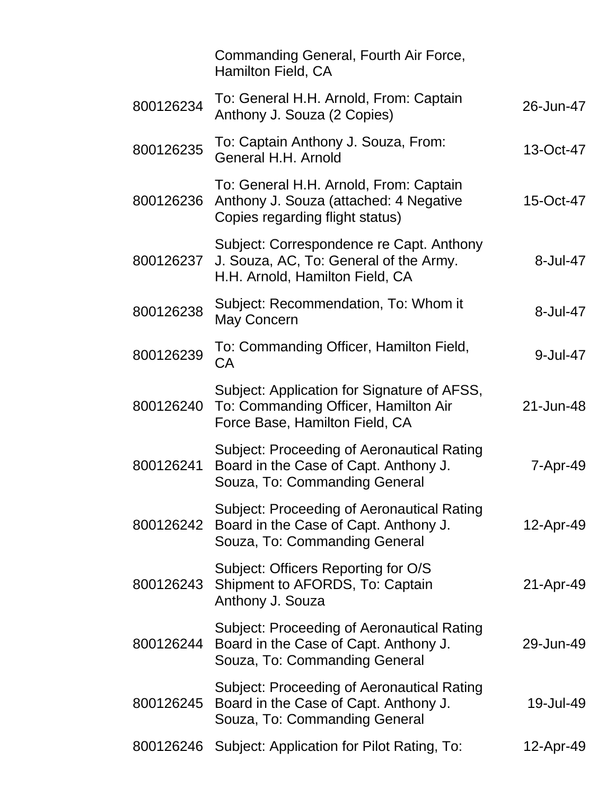|           | Commanding General, Fourth Air Force,<br>Hamilton Field, CA                                                                 |           |
|-----------|-----------------------------------------------------------------------------------------------------------------------------|-----------|
| 800126234 | To: General H.H. Arnold, From: Captain<br>Anthony J. Souza (2 Copies)                                                       | 26-Jun-47 |
| 800126235 | To: Captain Anthony J. Souza, From:<br>General H.H. Arnold                                                                  | 13-Oct-47 |
| 800126236 | To: General H.H. Arnold, From: Captain<br>Anthony J. Souza (attached: 4 Negative<br>Copies regarding flight status)         | 15-Oct-47 |
| 800126237 | Subject: Correspondence re Capt. Anthony<br>J. Souza, AC, To: General of the Army.<br>H.H. Arnold, Hamilton Field, CA       | 8-Jul-47  |
| 800126238 | Subject: Recommendation, To: Whom it<br>May Concern                                                                         | 8-Jul-47  |
| 800126239 | To: Commanding Officer, Hamilton Field,<br>CA                                                                               | 9-Jul-47  |
| 800126240 | Subject: Application for Signature of AFSS,<br>To: Commanding Officer, Hamilton Air<br>Force Base, Hamilton Field, CA       | 21-Jun-48 |
| 800126241 | <b>Subject: Proceeding of Aeronautical Rating</b><br>Board in the Case of Capt. Anthony J.<br>Souza, To: Commanding General | 7-Apr-49  |
| 800126242 | Subject: Proceeding of Aeronautical Rating<br>Board in the Case of Capt. Anthony J.<br>Souza, To: Commanding General        | 12-Apr-49 |
| 800126243 | Subject: Officers Reporting for O/S<br>Shipment to AFORDS, To: Captain<br>Anthony J. Souza                                  | 21-Apr-49 |
| 800126244 | <b>Subject: Proceeding of Aeronautical Rating</b><br>Board in the Case of Capt. Anthony J.<br>Souza, To: Commanding General | 29-Jun-49 |
| 800126245 | Subject: Proceeding of Aeronautical Rating<br>Board in the Case of Capt. Anthony J.<br>Souza, To: Commanding General        | 19-Jul-49 |
| 800126246 | Subject: Application for Pilot Rating, To:                                                                                  | 12-Apr-49 |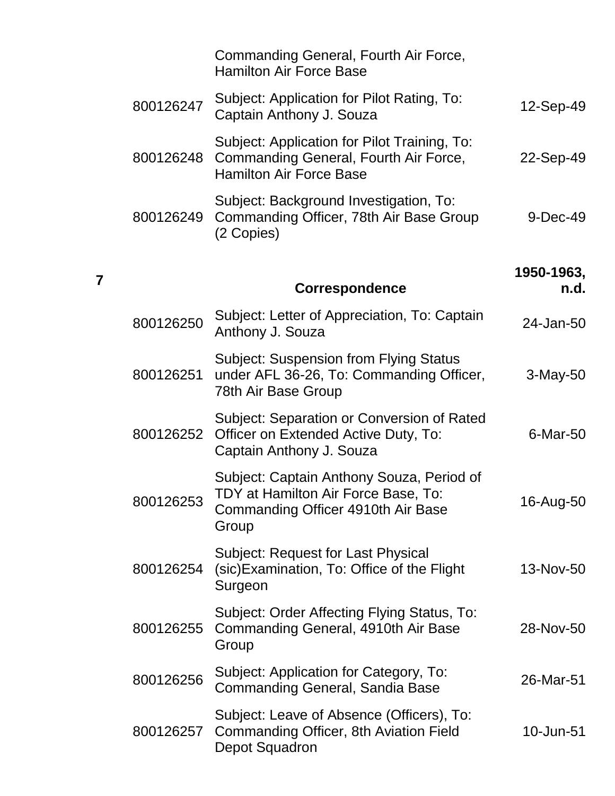|            | Commanding General, Fourth Air Force,<br><b>Hamilton Air Force Base</b>                                                         |           |
|------------|---------------------------------------------------------------------------------------------------------------------------------|-----------|
| 12-Sep-49  | Subject: Application for Pilot Rating, To:<br>Captain Anthony J. Souza                                                          | 800126247 |
| 22-Sep-49  | Subject: Application for Pilot Training, To:<br>Commanding General, Fourth Air Force,<br><b>Hamilton Air Force Base</b>         | 800126248 |
| 9-Dec-49   | Subject: Background Investigation, To:<br>Commanding Officer, 78th Air Base Group<br>(2 Copies)                                 | 800126249 |
| 1950-1963, |                                                                                                                                 |           |
| n.d.       | <b>Correspondence</b>                                                                                                           |           |
| 24-Jan-50  | Subject: Letter of Appreciation, To: Captain<br>Anthony J. Souza                                                                | 800126250 |
| $3-May-50$ | <b>Subject: Suspension from Flying Status</b><br>under AFL 36-26, To: Commanding Officer,<br>78th Air Base Group                | 800126251 |
| 6-Mar-50   | Subject: Separation or Conversion of Rated<br>Officer on Extended Active Duty, To:<br>Captain Anthony J. Souza                  | 800126252 |
| 16-Aug-50  | Subject: Captain Anthony Souza, Period of<br>TDY at Hamilton Air Force Base, To:<br>Commanding Officer 4910th Air Base<br>Group | 800126253 |
| 13-Nov-50  | <b>Subject: Request for Last Physical</b><br>(sic) Examination, To: Office of the Flight<br>Surgeon                             | 800126254 |
| 28-Nov-50  | Subject: Order Affecting Flying Status, To:<br>Commanding General, 4910th Air Base<br>Group                                     | 800126255 |
| 26-Mar-51  | Subject: Application for Category, To:<br>Commanding General, Sandia Base                                                       | 800126256 |
| 10-Jun-51  | Subject: Leave of Absence (Officers), To:<br>Commanding Officer, 8th Aviation Field<br>Depot Squadron                           | 800126257 |

**7**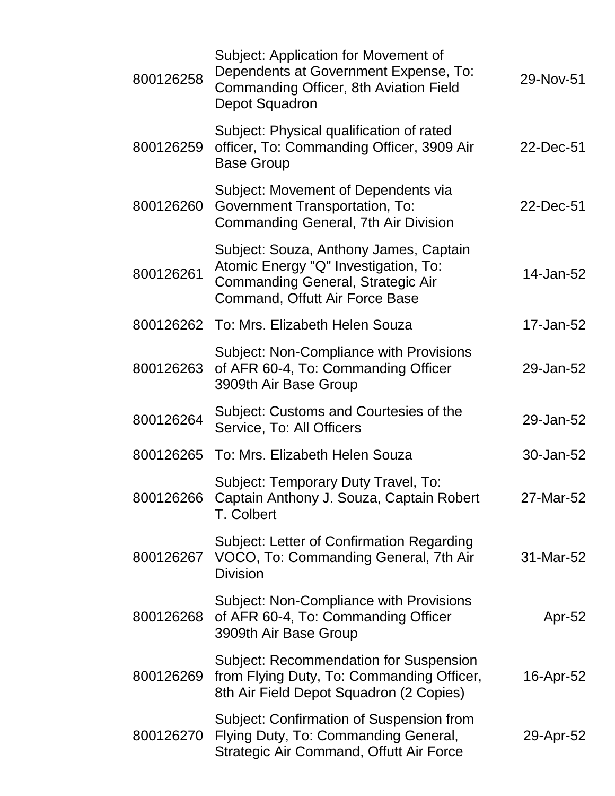| 800126258 | Subject: Application for Movement of<br>Dependents at Government Expense, To:<br>Commanding Officer, 8th Aviation Field<br>Depot Squadron                    | 29-Nov-51 |
|-----------|--------------------------------------------------------------------------------------------------------------------------------------------------------------|-----------|
| 800126259 | Subject: Physical qualification of rated<br>officer, To: Commanding Officer, 3909 Air<br><b>Base Group</b>                                                   | 22-Dec-51 |
| 800126260 | Subject: Movement of Dependents via<br>Government Transportation, To:<br>Commanding General, 7th Air Division                                                | 22-Dec-51 |
| 800126261 | Subject: Souza, Anthony James, Captain<br>Atomic Energy "Q" Investigation, To:<br><b>Commanding General, Strategic Air</b><br>Command, Offutt Air Force Base | 14-Jan-52 |
| 800126262 | To: Mrs. Elizabeth Helen Souza                                                                                                                               | 17-Jan-52 |
| 800126263 | Subject: Non-Compliance with Provisions<br>of AFR 60-4, To: Commanding Officer<br>3909th Air Base Group                                                      | 29-Jan-52 |
| 800126264 | Subject: Customs and Courtesies of the<br>Service, To: All Officers                                                                                          | 29-Jan-52 |
|           | 800126265 To: Mrs. Elizabeth Helen Souza                                                                                                                     | 30-Jan-52 |
|           | Subject: Temporary Duty Travel, To:<br>800126266 Captain Anthony J. Souza, Captain Robert<br>T. Colbert                                                      | 27-Mar-52 |
| 800126267 | Subject: Letter of Confirmation Regarding<br>VOCO, To: Commanding General, 7th Air<br><b>Division</b>                                                        | 31-Mar-52 |
| 800126268 | Subject: Non-Compliance with Provisions<br>of AFR 60-4, To: Commanding Officer<br>3909th Air Base Group                                                      | Apr-52    |
| 800126269 | <b>Subject: Recommendation for Suspension</b><br>from Flying Duty, To: Commanding Officer,<br>8th Air Field Depot Squadron (2 Copies)                        | 16-Apr-52 |
| 800126270 | Subject: Confirmation of Suspension from<br>Flying Duty, To: Commanding General,<br><b>Strategic Air Command, Offutt Air Force</b>                           | 29-Apr-52 |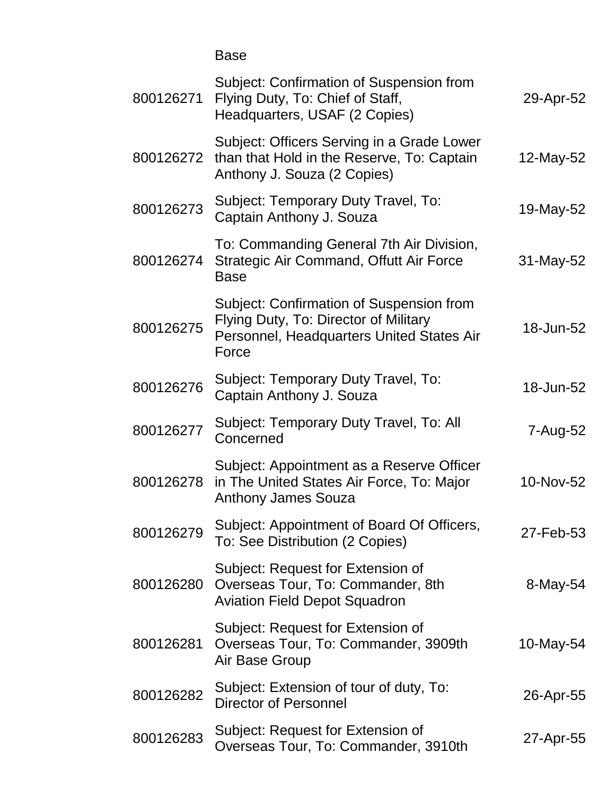Base

| 800126271 | Subject: Confirmation of Suspension from<br>Flying Duty, To: Chief of Staff,<br>Headquarters, USAF (2 Copies)                           | 29-Apr-52 |
|-----------|-----------------------------------------------------------------------------------------------------------------------------------------|-----------|
| 800126272 | Subject: Officers Serving in a Grade Lower<br>than that Hold in the Reserve, To: Captain<br>Anthony J. Souza (2 Copies)                 | 12-May-52 |
| 800126273 | Subject: Temporary Duty Travel, To:<br>Captain Anthony J. Souza                                                                         | 19-May-52 |
| 800126274 | To: Commanding General 7th Air Division,<br>Strategic Air Command, Offutt Air Force<br><b>Base</b>                                      | 31-May-52 |
| 800126275 | Subject: Confirmation of Suspension from<br>Flying Duty, To: Director of Military<br>Personnel, Headquarters United States Air<br>Force | 18-Jun-52 |
| 800126276 | Subject: Temporary Duty Travel, To:<br>Captain Anthony J. Souza                                                                         | 18-Jun-52 |
| 800126277 | Subject: Temporary Duty Travel, To: All<br>Concerned                                                                                    | 7-Aug-52  |
| 800126278 | Subject: Appointment as a Reserve Officer<br>in The United States Air Force, To: Major<br><b>Anthony James Souza</b>                    | 10-Nov-52 |
| 800126279 | Subject: Appointment of Board Of Officers,<br>To: See Distribution (2 Copies)                                                           | 27-Feb-53 |
| 800126280 | Subject: Request for Extension of<br>Overseas Tour, To: Commander, 8th<br><b>Aviation Field Depot Squadron</b>                          | 8-May-54  |
| 800126281 | Subject: Request for Extension of<br>Overseas Tour, To: Commander, 3909th<br>Air Base Group                                             | 10-May-54 |
| 800126282 | Subject: Extension of tour of duty, To:<br><b>Director of Personnel</b>                                                                 | 26-Apr-55 |
| 800126283 | Subject: Request for Extension of<br>Overseas Tour, To: Commander, 3910th                                                               | 27-Apr-55 |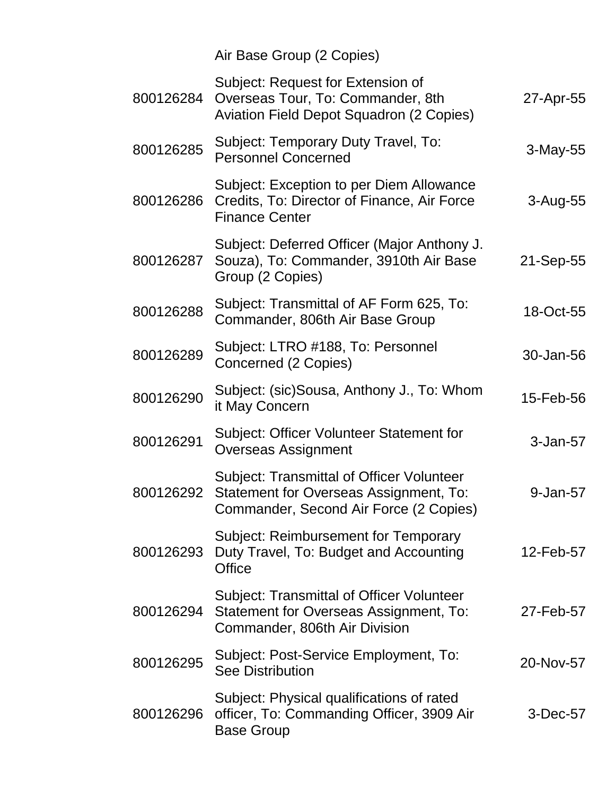Air Base Group (2 Copies)

| 800126284 | Subject: Request for Extension of<br>Overseas Tour, To: Commander, 8th<br>Aviation Field Depot Squadron (2 Copies)                   | 27-Apr-55    |
|-----------|--------------------------------------------------------------------------------------------------------------------------------------|--------------|
| 800126285 | Subject: Temporary Duty Travel, To:<br><b>Personnel Concerned</b>                                                                    | $3-May-55$   |
| 800126286 | Subject: Exception to per Diem Allowance<br>Credits, To: Director of Finance, Air Force<br><b>Finance Center</b>                     | $3 - Aug-55$ |
| 800126287 | Subject: Deferred Officer (Major Anthony J.<br>Souza), To: Commander, 3910th Air Base<br>Group (2 Copies)                            | 21-Sep-55    |
| 800126288 | Subject: Transmittal of AF Form 625, To:<br>Commander, 806th Air Base Group                                                          | 18-Oct-55    |
| 800126289 | Subject: LTRO #188, To: Personnel<br>Concerned (2 Copies)                                                                            | 30-Jan-56    |
| 800126290 | Subject: (sic)Sousa, Anthony J., To: Whom<br>it May Concern                                                                          | 15-Feb-56    |
| 800126291 | Subject: Officer Volunteer Statement for<br><b>Overseas Assignment</b>                                                               | 3-Jan-57     |
| 800126292 | <b>Subject: Transmittal of Officer Volunteer</b><br>Statement for Overseas Assignment, To:<br>Commander, Second Air Force (2 Copies) | 9-Jan-57     |
| 800126293 | Subject: Reimbursement for Temporary<br>Duty Travel, To: Budget and Accounting<br>Office                                             | 12-Feb-57    |
| 800126294 | <b>Subject: Transmittal of Officer Volunteer</b><br>Statement for Overseas Assignment, To:<br>Commander, 806th Air Division          | 27-Feb-57    |
| 800126295 | Subject: Post-Service Employment, To:<br><b>See Distribution</b>                                                                     | 20-Nov-57    |
| 800126296 | Subject: Physical qualifications of rated<br>officer, To: Commanding Officer, 3909 Air<br><b>Base Group</b>                          | 3-Dec-57     |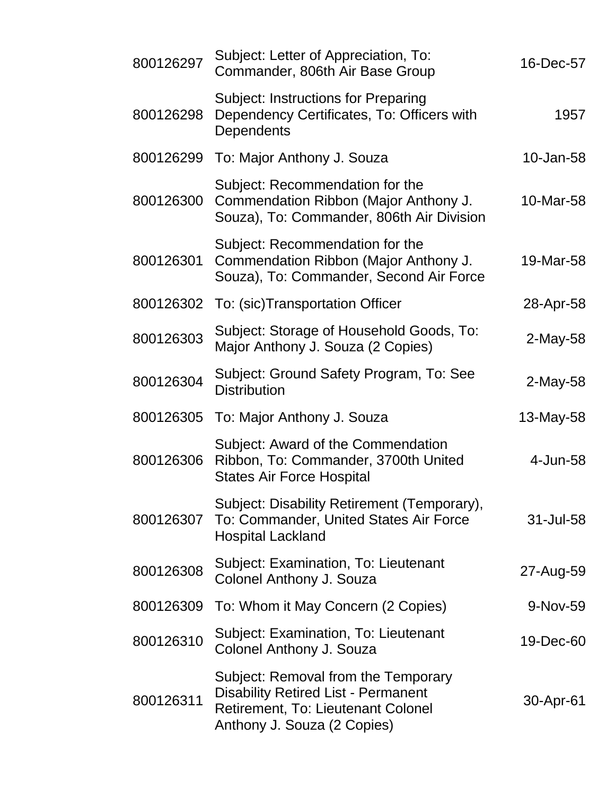| 800126297 | Subject: Letter of Appreciation, To:<br>Commander, 806th Air Base Group                                                                                | 16-Dec-57  |
|-----------|--------------------------------------------------------------------------------------------------------------------------------------------------------|------------|
| 800126298 | <b>Subject: Instructions for Preparing</b><br>Dependency Certificates, To: Officers with<br>Dependents                                                 | 1957       |
| 800126299 | To: Major Anthony J. Souza                                                                                                                             | 10-Jan-58  |
| 800126300 | Subject: Recommendation for the<br>Commendation Ribbon (Major Anthony J.<br>Souza), To: Commander, 806th Air Division                                  | 10-Mar-58  |
| 800126301 | Subject: Recommendation for the<br>Commendation Ribbon (Major Anthony J.<br>Souza), To: Commander, Second Air Force                                    | 19-Mar-58  |
| 800126302 | To: (sic)Transportation Officer                                                                                                                        | 28-Apr-58  |
| 800126303 | Subject: Storage of Household Goods, To:<br>Major Anthony J. Souza (2 Copies)                                                                          | $2-May-58$ |
| 800126304 | Subject: Ground Safety Program, To: See<br><b>Distribution</b>                                                                                         | 2-May-58   |
| 800126305 | To: Major Anthony J. Souza                                                                                                                             | 13-May-58  |
| 800126306 | Subject: Award of the Commendation<br>Ribbon, To: Commander, 3700th United<br><b>States Air Force Hospital</b>                                         | 4-Jun-58   |
| 800126307 | Subject: Disability Retirement (Temporary),<br>To: Commander, United States Air Force<br><b>Hospital Lackland</b>                                      | 31-Jul-58  |
| 800126308 | Subject: Examination, To: Lieutenant<br>Colonel Anthony J. Souza                                                                                       | 27-Aug-59  |
| 800126309 | To: Whom it May Concern (2 Copies)                                                                                                                     | 9-Nov-59   |
| 800126310 | Subject: Examination, To: Lieutenant<br>Colonel Anthony J. Souza                                                                                       | 19-Dec-60  |
| 800126311 | Subject: Removal from the Temporary<br><b>Disability Retired List - Permanent</b><br>Retirement, To: Lieutenant Colonel<br>Anthony J. Souza (2 Copies) | 30-Apr-61  |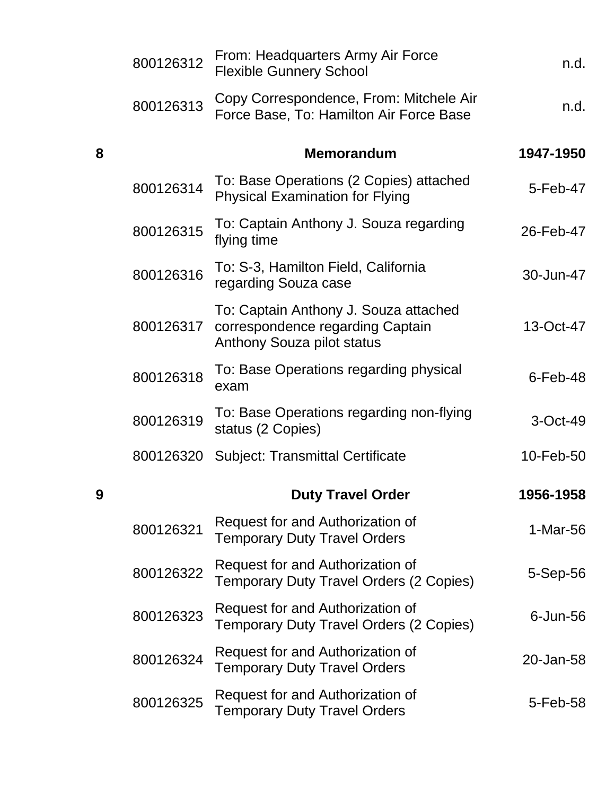|   | 800126312 | From: Headquarters Army Air Force<br><b>Flexible Gunnery School</b>                                     | n.d.           |
|---|-----------|---------------------------------------------------------------------------------------------------------|----------------|
|   | 800126313 | Copy Correspondence, From: Mitchele Air<br>Force Base, To: Hamilton Air Force Base                      | n.d.           |
| 8 |           | <b>Memorandum</b>                                                                                       | 1947-1950      |
|   | 800126314 | To: Base Operations (2 Copies) attached<br><b>Physical Examination for Flying</b>                       | 5-Feb-47       |
|   | 800126315 | To: Captain Anthony J. Souza regarding<br>flying time                                                   | 26-Feb-47      |
|   | 800126316 | To: S-3, Hamilton Field, California<br>regarding Souza case                                             | 30-Jun-47      |
|   | 800126317 | To: Captain Anthony J. Souza attached<br>correspondence regarding Captain<br>Anthony Souza pilot status | 13-Oct-47      |
|   | 800126318 | To: Base Operations regarding physical<br>exam                                                          | $6$ -Feb-48    |
|   | 800126319 | To: Base Operations regarding non-flying<br>status (2 Copies)                                           | 3-Oct-49       |
|   | 800126320 | <b>Subject: Transmittal Certificate</b>                                                                 | 10-Feb-50      |
| 9 |           | <b>Duty Travel Order</b>                                                                                | 1956-1958      |
|   | 800126321 | Request for and Authorization of<br><b>Temporary Duty Travel Orders</b>                                 | $1-Mar-56$     |
|   | 800126322 | Request for and Authorization of<br><b>Temporary Duty Travel Orders (2 Copies)</b>                      | $5-$ Sep $-56$ |
|   | 800126323 | Request for and Authorization of<br><b>Temporary Duty Travel Orders (2 Copies)</b>                      | $6$ -Jun- $56$ |
|   | 800126324 | Request for and Authorization of<br><b>Temporary Duty Travel Orders</b>                                 | 20-Jan-58      |
|   | 800126325 | Request for and Authorization of<br><b>Temporary Duty Travel Orders</b>                                 | 5-Feb-58       |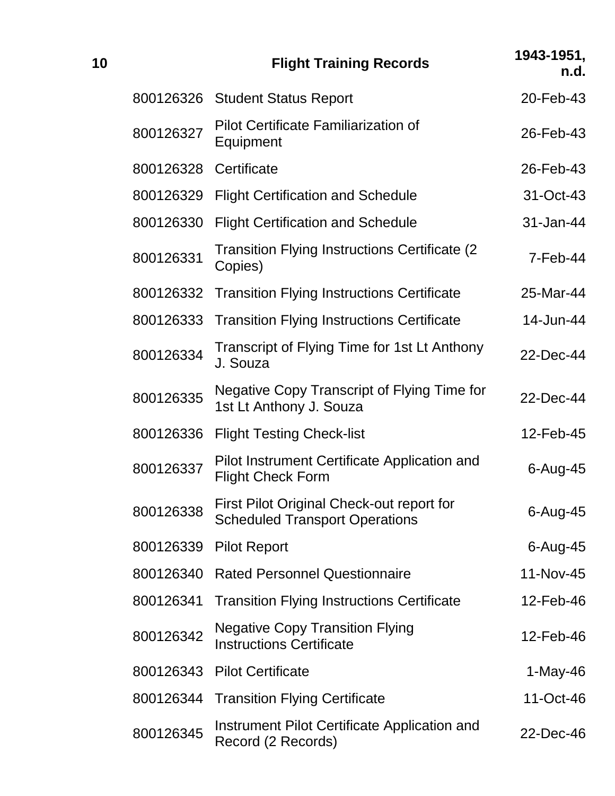| 10 |           | <b>Flight Training Records</b>                                                     | 1943-1951,<br>n.d. |
|----|-----------|------------------------------------------------------------------------------------|--------------------|
|    |           | 800126326 Student Status Report                                                    | 20-Feb-43          |
|    | 800126327 | Pilot Certificate Familiarization of<br>Equipment                                  | 26-Feb-43          |
|    | 800126328 | Certificate                                                                        | 26-Feb-43          |
|    | 800126329 | <b>Flight Certification and Schedule</b>                                           | 31-Oct-43          |
|    | 800126330 | <b>Flight Certification and Schedule</b>                                           | 31-Jan-44          |
|    | 800126331 | <b>Transition Flying Instructions Certificate (2)</b><br>Copies)                   | $7-Feb-44$         |
|    | 800126332 | <b>Transition Flying Instructions Certificate</b>                                  | 25-Mar-44          |
|    | 800126333 | <b>Transition Flying Instructions Certificate</b>                                  | 14-Jun-44          |
|    | 800126334 | Transcript of Flying Time for 1st Lt Anthony<br>J. Souza                           | 22-Dec-44          |
|    | 800126335 | Negative Copy Transcript of Flying Time for<br>1st Lt Anthony J. Souza             | 22-Dec-44          |
|    | 800126336 | <b>Flight Testing Check-list</b>                                                   | 12-Feb-45          |
|    | 800126337 | Pilot Instrument Certificate Application and<br><b>Flight Check Form</b>           | $6 - Aug-45$       |
|    | 800126338 | First Pilot Original Check-out report for<br><b>Scheduled Transport Operations</b> | $6 - Aug-45$       |
|    | 800126339 | <b>Pilot Report</b>                                                                | $6 - Aug-45$       |
|    | 800126340 | <b>Rated Personnel Questionnaire</b>                                               | 11-Nov-45          |
|    | 800126341 | <b>Transition Flying Instructions Certificate</b>                                  | 12-Feb-46          |
|    | 800126342 | <b>Negative Copy Transition Flying</b><br><b>Instructions Certificate</b>          | 12-Feb-46          |
|    | 800126343 | <b>Pilot Certificate</b>                                                           | $1-May-46$         |
|    | 800126344 | <b>Transition Flying Certificate</b>                                               | 11-Oct-46          |
|    | 800126345 | Instrument Pilot Certificate Application and<br>Record (2 Records)                 | 22-Dec-46          |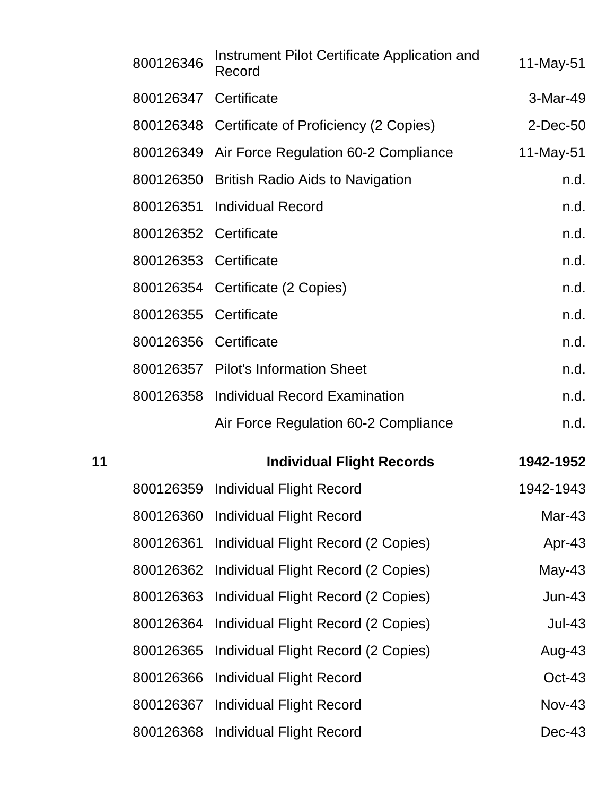|    | 800126346             | Instrument Pilot Certificate Application and<br>Record | $11$ -May-51  |
|----|-----------------------|--------------------------------------------------------|---------------|
|    | 800126347 Certificate |                                                        | 3-Mar-49      |
|    |                       | 800126348 Certificate of Proficiency (2 Copies)        | 2-Dec-50      |
|    |                       | 800126349 Air Force Regulation 60-2 Compliance         | 11-May-51     |
|    | 800126350             | <b>British Radio Aids to Navigation</b>                | n.d.          |
|    |                       | 800126351 Individual Record                            | n.d.          |
|    | 800126352 Certificate |                                                        | n.d.          |
|    | 800126353 Certificate |                                                        | n.d.          |
|    |                       | 800126354 Certificate (2 Copies)                       | n.d.          |
|    | 800126355             | Certificate                                            | n.d.          |
|    | 800126356 Certificate |                                                        | n.d.          |
|    |                       | 800126357 Pilot's Information Sheet                    | n.d.          |
|    |                       | 800126358 Individual Record Examination                | n.d.          |
|    |                       |                                                        |               |
|    |                       | Air Force Regulation 60-2 Compliance                   | n.d.          |
| 11 |                       | <b>Individual Flight Records</b>                       | 1942-1952     |
|    |                       | 800126359 Individual Flight Record                     | 1942-1943     |
|    |                       | 800126360 Individual Flight Record                     | Mar-43        |
|    | 800126361             | Individual Flight Record (2 Copies)                    | Apr-43        |
|    | 800126362             | Individual Flight Record (2 Copies)                    | $May-43$      |
|    | 800126363             | Individual Flight Record (2 Copies)                    | <b>Jun-43</b> |
|    | 800126364             | Individual Flight Record (2 Copies)                    | <b>Jul-43</b> |
|    | 800126365             | Individual Flight Record (2 Copies)                    | Aug-43        |
|    | 800126366             | <b>Individual Flight Record</b>                        | Oct-43        |
|    | 800126367             | <b>Individual Flight Record</b>                        | <b>Nov-43</b> |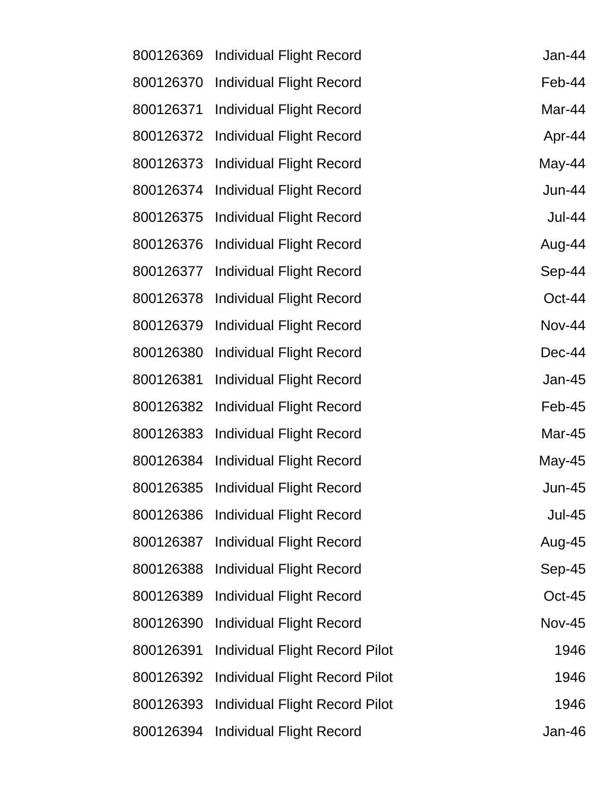| 800126369 | <b>Individual Flight Record</b> | Jan-44        |
|-----------|---------------------------------|---------------|
| 800126370 | <b>Individual Flight Record</b> | Feb-44        |
| 800126371 | <b>Individual Flight Record</b> | Mar-44        |
| 800126372 | <b>Individual Flight Record</b> | Apr-44        |
| 800126373 | <b>Individual Flight Record</b> | May-44        |
| 800126374 | <b>Individual Flight Record</b> | <b>Jun-44</b> |
| 800126375 | <b>Individual Flight Record</b> | <b>Jul-44</b> |
| 800126376 | <b>Individual Flight Record</b> | Aug-44        |
| 800126377 | <b>Individual Flight Record</b> | Sep-44        |
| 800126378 | <b>Individual Flight Record</b> | Oct-44        |
| 800126379 | <b>Individual Flight Record</b> | <b>Nov-44</b> |
| 800126380 | <b>Individual Flight Record</b> | Dec-44        |
| 800126381 | <b>Individual Flight Record</b> | Jan-45        |
| 800126382 | <b>Individual Flight Record</b> | Feb-45        |
| 800126383 | <b>Individual Flight Record</b> | Mar-45        |
| 800126384 | <b>Individual Flight Record</b> | May-45        |
| 800126385 | <b>Individual Flight Record</b> | $Jun-45$      |
| 800126386 | <b>Individual Flight Record</b> | <b>Jul-45</b> |
| 800126387 | <b>Individual Flight Record</b> | Aug-45        |
| 800126388 | <b>Individual Flight Record</b> | Sep-45        |
| 800126389 | <b>Individual Flight Record</b> | $Oct-45$      |
| 800126390 | <b>Individual Flight Record</b> | <b>Nov-45</b> |
| 800126391 | Individual Flight Record Pilot  | 1946          |
| 800126392 | Individual Flight Record Pilot  | 1946          |
| 800126393 | Individual Flight Record Pilot  | 1946          |
| 800126394 | <b>Individual Flight Record</b> | Jan-46        |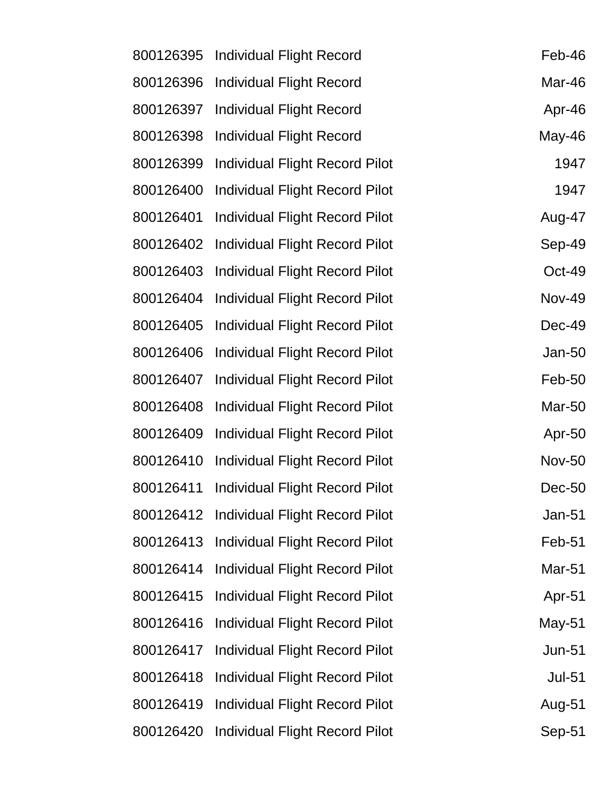| 800126395 | Individual Flight Record              | Feb-46        |
|-----------|---------------------------------------|---------------|
| 800126396 | <b>Individual Flight Record</b>       | Mar-46        |
| 800126397 | <b>Individual Flight Record</b>       | Apr-46        |
| 800126398 | <b>Individual Flight Record</b>       | May-46        |
| 800126399 | <b>Individual Flight Record Pilot</b> | 1947          |
| 800126400 | Individual Flight Record Pilot        | 1947          |
| 800126401 | Individual Flight Record Pilot        | Aug-47        |
| 800126402 | <b>Individual Flight Record Pilot</b> | Sep-49        |
| 800126403 | <b>Individual Flight Record Pilot</b> | Oct-49        |
| 800126404 | <b>Individual Flight Record Pilot</b> | <b>Nov-49</b> |
| 800126405 | <b>Individual Flight Record Pilot</b> | Dec-49        |
| 800126406 | <b>Individual Flight Record Pilot</b> | Jan-50        |
| 800126407 | <b>Individual Flight Record Pilot</b> | Feb-50        |
| 800126408 | <b>Individual Flight Record Pilot</b> | Mar-50        |
| 800126409 | <b>Individual Flight Record Pilot</b> | Apr-50        |
| 800126410 | <b>Individual Flight Record Pilot</b> | <b>Nov-50</b> |
| 800126411 | <b>Individual Flight Record Pilot</b> | Dec-50        |
| 800126412 | <b>Individual Flight Record Pilot</b> | Jan-51        |
| 800126413 | <b>Individual Flight Record Pilot</b> | Feb-51        |
| 800126414 | <b>Individual Flight Record Pilot</b> | <b>Mar-51</b> |
| 800126415 | <b>Individual Flight Record Pilot</b> | Apr-51        |
| 800126416 | <b>Individual Flight Record Pilot</b> | May-51        |
| 800126417 | Individual Flight Record Pilot        | <b>Jun-51</b> |
| 800126418 | <b>Individual Flight Record Pilot</b> | <b>Jul-51</b> |
| 800126419 | <b>Individual Flight Record Pilot</b> | Aug-51        |
| 800126420 | <b>Individual Flight Record Pilot</b> | Sep-51        |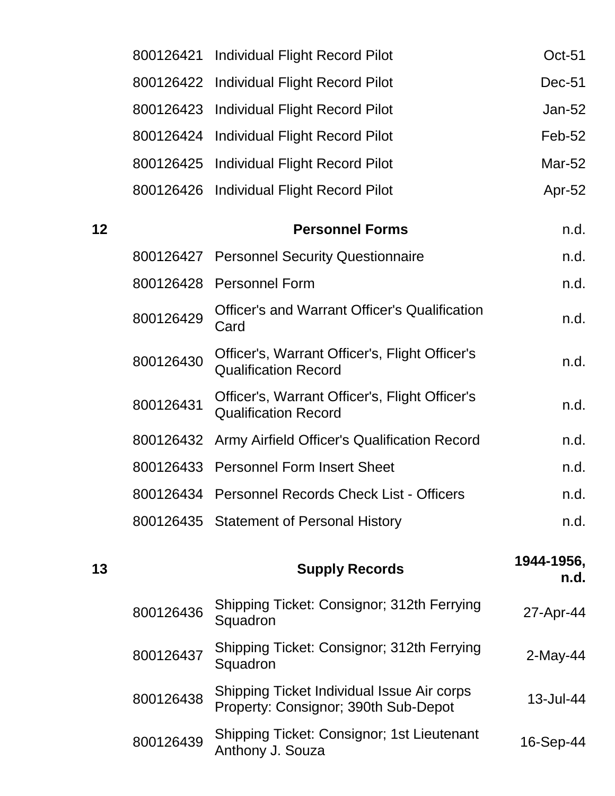|    |           | 800126421 Individual Flight Record Pilot                                           | Oct-51             |
|----|-----------|------------------------------------------------------------------------------------|--------------------|
|    | 800126422 | <b>Individual Flight Record Pilot</b>                                              | Dec-51             |
|    |           | 800126423 Individual Flight Record Pilot                                           | Jan-52             |
|    |           | 800126424 Individual Flight Record Pilot                                           | Feb-52             |
|    |           | 800126425 Individual Flight Record Pilot                                           | Mar-52             |
|    |           | 800126426 Individual Flight Record Pilot                                           | Apr-52             |
| 12 |           | <b>Personnel Forms</b>                                                             | n.d.               |
|    |           | 800126427 Personnel Security Questionnaire                                         | n.d.               |
|    |           | 800126428 Personnel Form                                                           | n.d.               |
|    | 800126429 | <b>Officer's and Warrant Officer's Qualification</b><br>Card                       | n.d.               |
|    | 800126430 | Officer's, Warrant Officer's, Flight Officer's<br><b>Qualification Record</b>      | n.d.               |
|    | 800126431 | Officer's, Warrant Officer's, Flight Officer's<br><b>Qualification Record</b>      | n.d.               |
|    |           | 800126432 Army Airfield Officer's Qualification Record                             | n.d.               |
|    |           | 800126433 Personnel Form Insert Sheet                                              | n.d.               |
|    |           | 800126434 Personnel Records Check List - Officers                                  | n.d.               |
|    |           | 800126435 Statement of Personal History                                            | n.d.               |
| 13 |           | <b>Supply Records</b>                                                              | 1944-1956,<br>n.d. |
|    | 800126436 | Shipping Ticket: Consignor; 312th Ferrying<br>Squadron                             | 27-Apr-44          |
|    | 800126437 | Shipping Ticket: Consignor; 312th Ferrying<br>Squadron                             | $2$ -May-44        |
|    | 800126438 | Shipping Ticket Individual Issue Air corps<br>Property: Consignor; 390th Sub-Depot | 13-Jul-44          |
|    | 800126439 | Shipping Ticket: Consignor; 1st Lieutenant<br>Anthony J. Souza                     | 16-Sep-44          |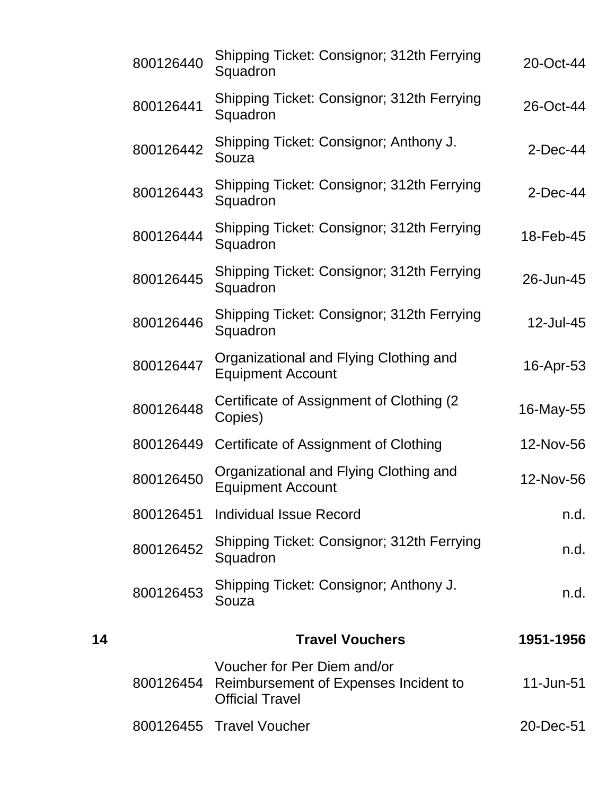|    | 800126440 | Shipping Ticket: Consignor; 312th Ferrying<br>Squadron                                                   | 20-Oct-44   |
|----|-----------|----------------------------------------------------------------------------------------------------------|-------------|
|    | 800126441 | Shipping Ticket: Consignor; 312th Ferrying<br>Squadron                                                   | 26-Oct-44   |
|    | 800126442 | Shipping Ticket: Consignor; Anthony J.<br>Souza                                                          | $2$ -Dec-44 |
|    | 800126443 | Shipping Ticket: Consignor; 312th Ferrying<br>Squadron                                                   | $2$ -Dec-44 |
|    | 800126444 | Shipping Ticket: Consignor; 312th Ferrying<br>Squadron                                                   | 18-Feb-45   |
|    | 800126445 | Shipping Ticket: Consignor; 312th Ferrying<br>Squadron                                                   | 26-Jun-45   |
|    | 800126446 | Shipping Ticket: Consignor; 312th Ferrying<br>Squadron                                                   | 12-Jul-45   |
|    | 800126447 | Organizational and Flying Clothing and<br><b>Equipment Account</b>                                       | 16-Apr-53   |
|    | 800126448 | Certificate of Assignment of Clothing (2)<br>Copies)                                                     | 16-May-55   |
|    | 800126449 | Certificate of Assignment of Clothing                                                                    | 12-Nov-56   |
|    | 800126450 | Organizational and Flying Clothing and<br><b>Equipment Account</b>                                       | 12-Nov-56   |
|    |           | 800126451 Individual Issue Record                                                                        | n.d.        |
|    | 800126452 | Shipping Ticket: Consignor; 312th Ferrying<br>Squadron                                                   | n.d.        |
|    | 800126453 | Shipping Ticket: Consignor; Anthony J.<br>Souza                                                          | n.d.        |
| 14 |           | <b>Travel Vouchers</b>                                                                                   | 1951-1956   |
|    |           | Voucher for Per Diem and/or<br>800126454 Reimbursement of Expenses Incident to<br><b>Official Travel</b> | 11-Jun-51   |
|    |           | 800126455 Travel Voucher                                                                                 | 20-Dec-51   |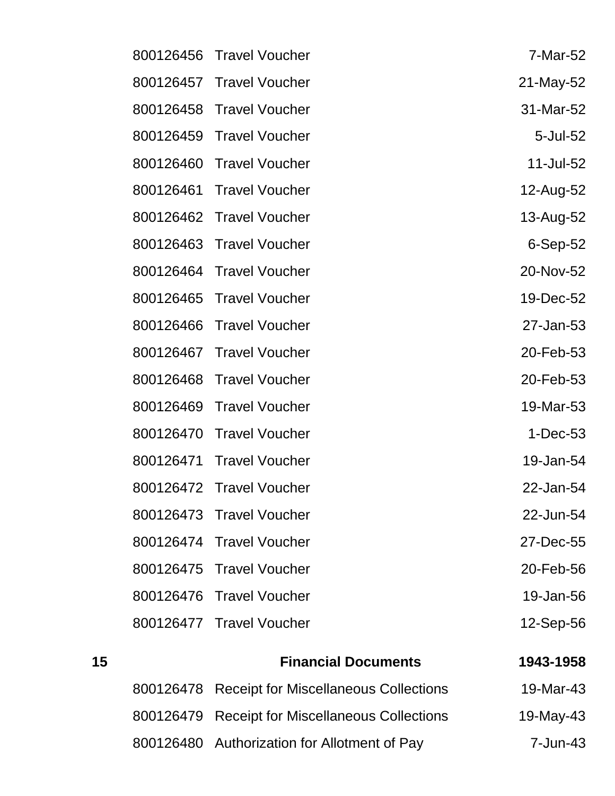| 800126456 | <b>Travel Voucher</b>    | 7-Mar-52   |
|-----------|--------------------------|------------|
| 800126457 | <b>Travel Voucher</b>    | 21-May-52  |
| 800126458 | <b>Travel Voucher</b>    | 31-Mar-52  |
| 800126459 | <b>Travel Voucher</b>    | 5-Jul-52   |
| 800126460 | <b>Travel Voucher</b>    | 11-Jul-52  |
| 800126461 | <b>Travel Voucher</b>    | 12-Aug-52  |
| 800126462 | <b>Travel Voucher</b>    | 13-Aug-52  |
|           | 800126463 Travel Voucher | $6-Sep-52$ |
| 800126464 | <b>Travel Voucher</b>    | 20-Nov-52  |
| 800126465 | <b>Travel Voucher</b>    | 19-Dec-52  |
| 800126466 | <b>Travel Voucher</b>    | 27-Jan-53  |
| 800126467 | <b>Travel Voucher</b>    | 20-Feb-53  |
| 800126468 | <b>Travel Voucher</b>    | 20-Feb-53  |
| 800126469 | <b>Travel Voucher</b>    | 19-Mar-53  |
| 800126470 | <b>Travel Voucher</b>    | $1-Dec-53$ |
| 800126471 | <b>Travel Voucher</b>    | 19-Jan-54  |
| 800126472 | <b>Travel Voucher</b>    | 22-Jan-54  |
|           | 800126473 Travel Voucher | 22-Jun-54  |
|           | 800126474 Travel Voucher | 27-Dec-55  |
| 800126475 | <b>Travel Voucher</b>    | 20-Feb-56  |
| 800126476 | <b>Travel Voucher</b>    | 19-Jan-56  |
|           | 800126477 Travel Voucher | 12-Sep-56  |

| 15 | <b>Financial Documents</b>                      | 1943-1958 |
|----|-------------------------------------------------|-----------|
|    | 800126478 Receipt for Miscellaneous Collections | 19-Mar-43 |
|    | 800126479 Receipt for Miscellaneous Collections | 19-May-43 |
|    | 800126480 Authorization for Allotment of Pay    | 7-Jun-43  |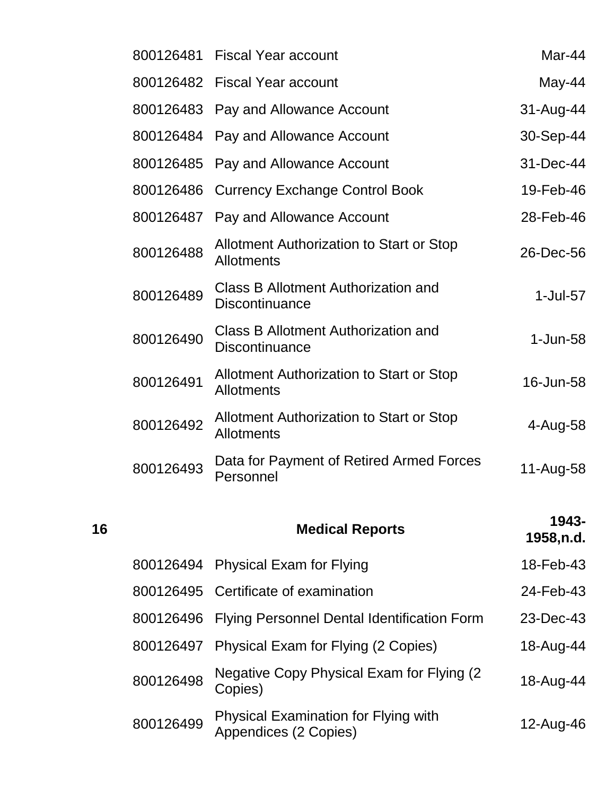|    |           | 800126481 Fiscal Year account                                       | Mar-44              |
|----|-----------|---------------------------------------------------------------------|---------------------|
|    |           | 800126482 Fiscal Year account                                       | May-44              |
|    |           | 800126483 Pay and Allowance Account                                 | 31-Aug-44           |
|    |           | 800126484 Pay and Allowance Account                                 | 30-Sep-44           |
|    | 800126485 | Pay and Allowance Account                                           | 31-Dec-44           |
|    | 800126486 | <b>Currency Exchange Control Book</b>                               | 19-Feb-46           |
|    |           | 800126487 Pay and Allowance Account                                 | 28-Feb-46           |
|    | 800126488 | Allotment Authorization to Start or Stop<br><b>Allotments</b>       | 26-Dec-56           |
|    | 800126489 | <b>Class B Allotment Authorization and</b><br><b>Discontinuance</b> | $1$ -Jul- $57$      |
|    | 800126490 | Class B Allotment Authorization and<br><b>Discontinuance</b>        | $1-Jun-58$          |
|    | 800126491 | Allotment Authorization to Start or Stop<br><b>Allotments</b>       | 16-Jun-58           |
|    | 800126492 | Allotment Authorization to Start or Stop<br><b>Allotments</b>       | 4-Aug-58            |
|    | 800126493 | Data for Payment of Retired Armed Forces<br>Personnel               | 11-Aug-58           |
| 16 |           | <b>Medical Reports</b>                                              | 1943-<br>1958, n.d. |
|    |           | 800126494 Physical Exam for Flying                                  | 18-Feb-43           |
|    |           | 800126495 Certificate of examination                                | 24-Feb-43           |
|    |           | 000126406 Elving Dersonnel Dental Identification Form               | $22 \text{ Do} 42$  |

|           | <b>OUU IZO490</b> Fiving Fersonner Dental Identification Form        | ZJ-DEC-4J |
|-----------|----------------------------------------------------------------------|-----------|
|           | 800126497 Physical Exam for Flying (2 Copies)                        | 18-Aug-44 |
| 800126498 | Negative Copy Physical Exam for Flying (2)<br>Copies)                | 18-Aug-44 |
| 800126499 | <b>Physical Examination for Flying with</b><br>Appendices (2 Copies) | 12-Aug-46 |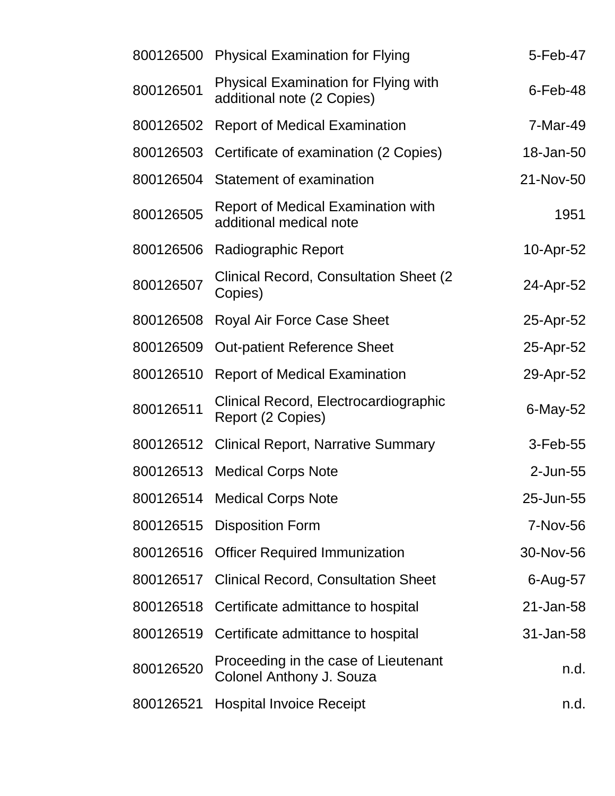| 800126500 | <b>Physical Examination for Flying</b>                                    | 5-Feb-47     |
|-----------|---------------------------------------------------------------------------|--------------|
| 800126501 | <b>Physical Examination for Flying with</b><br>additional note (2 Copies) | $6$ -Feb-48  |
| 800126502 | <b>Report of Medical Examination</b>                                      | 7-Mar-49     |
| 800126503 | Certificate of examination (2 Copies)                                     | 18-Jan-50    |
| 800126504 | Statement of examination                                                  | 21-Nov-50    |
| 800126505 | <b>Report of Medical Examination with</b><br>additional medical note      | 1951         |
| 800126506 | Radiographic Report                                                       | 10-Apr-52    |
| 800126507 | <b>Clinical Record, Consultation Sheet (2)</b><br>Copies)                 | 24-Apr-52    |
| 800126508 | <b>Royal Air Force Case Sheet</b>                                         | 25-Apr-52    |
| 800126509 | <b>Out-patient Reference Sheet</b>                                        | 25-Apr-52    |
| 800126510 | <b>Report of Medical Examination</b>                                      | 29-Apr-52    |
| 800126511 | Clinical Record, Electrocardiographic<br>Report (2 Copies)                | 6-May-52     |
| 800126512 | <b>Clinical Report, Narrative Summary</b>                                 | 3-Feb-55     |
| 800126513 | <b>Medical Corps Note</b>                                                 | 2-Jun-55     |
|           | 800126514 Medical Corps Note                                              | 25-Jun-55    |
| 800126515 | <b>Disposition Form</b>                                                   | 7-Nov-56     |
| 800126516 | <b>Officer Required Immunization</b>                                      | 30-Nov-56    |
| 800126517 | <b>Clinical Record, Consultation Sheet</b>                                | $6 - Aug-57$ |
| 800126518 | Certificate admittance to hospital                                        | 21-Jan-58    |
| 800126519 | Certificate admittance to hospital                                        | 31-Jan-58    |
| 800126520 | Proceeding in the case of Lieutenant<br>Colonel Anthony J. Souza          | n.d.         |
| 800126521 | <b>Hospital Invoice Receipt</b>                                           | n.d.         |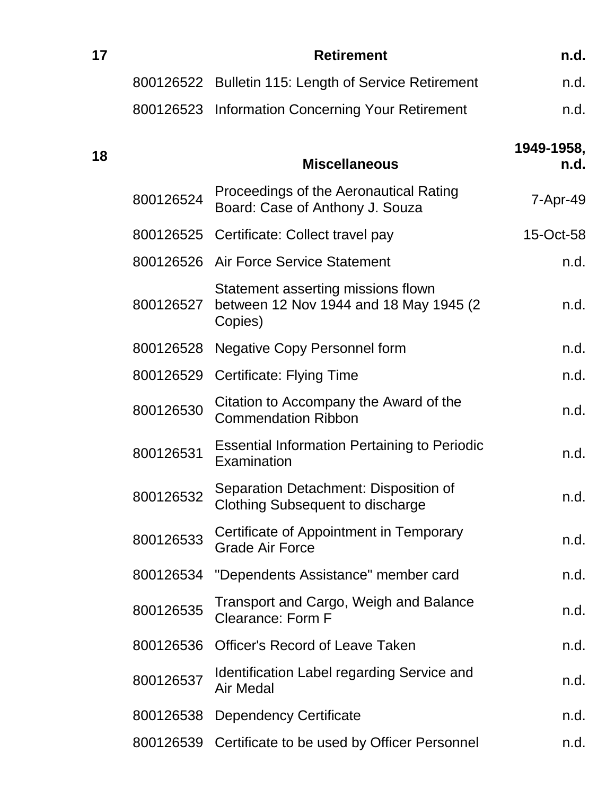| 17 |           | <b>Retirement</b>                                                                        | n.d.               |
|----|-----------|------------------------------------------------------------------------------------------|--------------------|
|    |           | 800126522 Bulletin 115: Length of Service Retirement                                     | n.d.               |
|    |           | 800126523 Information Concerning Your Retirement                                         | n.d.               |
| 18 |           | <b>Miscellaneous</b>                                                                     | 1949-1958,<br>n.d. |
|    | 800126524 | Proceedings of the Aeronautical Rating<br>Board: Case of Anthony J. Souza                | 7-Apr-49           |
|    |           | 800126525 Certificate: Collect travel pay                                                | 15-Oct-58          |
|    |           | 800126526 Air Force Service Statement                                                    | n.d.               |
|    | 800126527 | Statement asserting missions flown<br>between 12 Nov 1944 and 18 May 1945 (2)<br>Copies) | n.d.               |
|    | 800126528 | <b>Negative Copy Personnel form</b>                                                      | n.d.               |
|    | 800126529 | Certificate: Flying Time                                                                 | n.d.               |
|    | 800126530 | Citation to Accompany the Award of the<br><b>Commendation Ribbon</b>                     | n.d.               |
|    | 800126531 | <b>Essential Information Pertaining to Periodic</b><br>Examination                       | n.d.               |
|    | 800126532 | Separation Detachment: Disposition of<br><b>Clothing Subsequent to discharge</b>         | n.d.               |
|    | 800126533 | Certificate of Appointment in Temporary<br><b>Grade Air Force</b>                        | n.d.               |
|    | 800126534 | "Dependents Assistance" member card                                                      | n.d.               |
|    | 800126535 | <b>Transport and Cargo, Weigh and Balance</b><br><b>Clearance: Form F</b>                | n.d.               |
|    | 800126536 | <b>Officer's Record of Leave Taken</b>                                                   | n.d.               |
|    | 800126537 | <b>Identification Label regarding Service and</b><br><b>Air Medal</b>                    | n.d.               |
|    | 800126538 | <b>Dependency Certificate</b>                                                            | n.d.               |
|    | 800126539 | Certificate to be used by Officer Personnel                                              | n.d.               |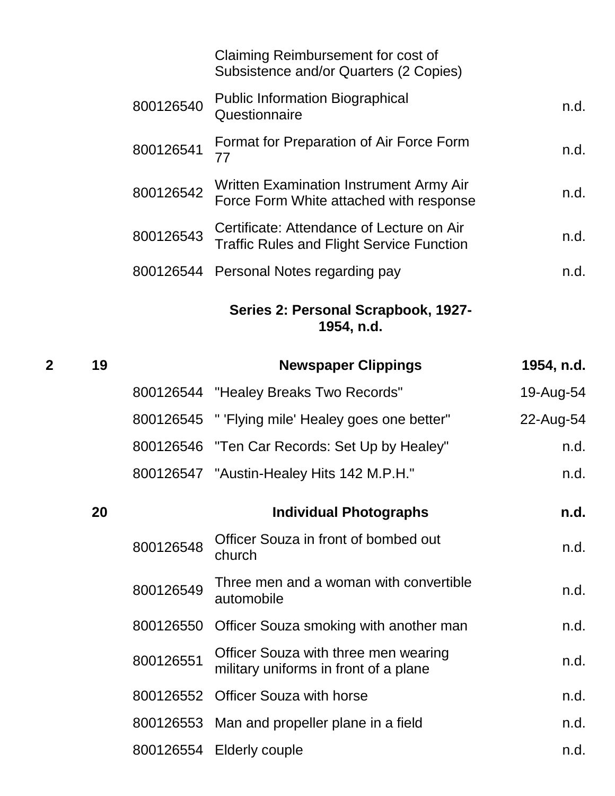|           | Claiming Reimbursement for cost of<br>Subsistence and/or Quarters (2 Copies)                  |      |
|-----------|-----------------------------------------------------------------------------------------------|------|
| 800126540 | <b>Public Information Biographical</b><br>Questionnaire                                       | n.d. |
| 800126541 | Format for Preparation of Air Force Form<br>77                                                | n.d. |
| 800126542 | Written Examination Instrument Army Air<br>Force Form White attached with response            | n.d. |
| 800126543 | Certificate: Attendance of Lecture on Air<br><b>Traffic Rules and Flight Service Function</b> | n.d. |
|           | 800126544 Personal Notes regarding pay                                                        | n.d. |
|           | 1 8 1. . 46                                                                                   |      |

#### **Series 2: Personal Scrapbook, 1927- 1954, n.d.**

| $\overline{2}$ | 19 |           | <b>Newspaper Clippings</b>                                                    | 1954, n.d. |
|----------------|----|-----------|-------------------------------------------------------------------------------|------------|
|                |    |           | 800126544 "Healey Breaks Two Records"                                         | 19-Aug-54  |
|                |    |           | 800126545 " 'Flying mile' Healey goes one better"                             | 22-Aug-54  |
|                |    |           | 800126546 "Ten Car Records: Set Up by Healey"                                 | n.d.       |
|                |    |           | 800126547 "Austin-Healey Hits 142 M.P.H."                                     | n.d.       |
|                | 20 |           | <b>Individual Photographs</b>                                                 | n.d.       |
|                |    | 800126548 | Officer Souza in front of bombed out<br>church                                | n.d.       |
|                |    | 800126549 | Three men and a woman with convertible<br>automobile                          | n.d.       |
|                |    |           | 800126550 Officer Souza smoking with another man                              | n.d.       |
|                |    | 800126551 | Officer Souza with three men wearing<br>military uniforms in front of a plane | n.d.       |
|                |    | 800126552 | <b>Officer Souza with horse</b>                                               | n.d.       |
|                |    |           | 800126553 Man and propeller plane in a field                                  | n.d.       |
|                |    |           | 800126554 Elderly couple                                                      | n.d.       |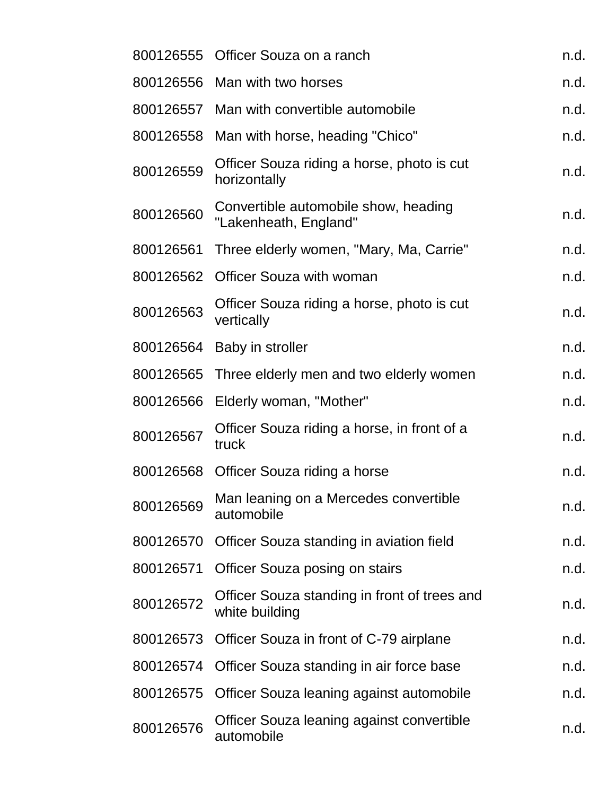|           | 800126555 Officer Souza on a ranch                             | n.d. |
|-----------|----------------------------------------------------------------|------|
|           | 800126556 Man with two horses                                  | n.d. |
| 800126557 | Man with convertible automobile                                | n.d. |
| 800126558 | Man with horse, heading "Chico"                                | n.d. |
| 800126559 | Officer Souza riding a horse, photo is cut<br>horizontally     | n.d. |
| 800126560 | Convertible automobile show, heading<br>"Lakenheath, England"  | n.d. |
| 800126561 | Three elderly women, "Mary, Ma, Carrie"                        | n.d. |
| 800126562 | <b>Officer Souza with woman</b>                                | n.d. |
| 800126563 | Officer Souza riding a horse, photo is cut<br>vertically       | n.d. |
| 800126564 | Baby in stroller                                               | n.d. |
| 800126565 | Three elderly men and two elderly women                        | n.d. |
| 800126566 | Elderly woman, "Mother"                                        | n.d. |
| 800126567 | Officer Souza riding a horse, in front of a<br>truck           | n.d. |
|           | 800126568 Officer Souza riding a horse                         | n.d. |
| 800126569 | Man leaning on a Mercedes convertible<br>automobile            | n.d. |
| 800126570 | Officer Souza standing in aviation field                       | n.d. |
| 800126571 | <b>Officer Souza posing on stairs</b>                          | n.d. |
| 800126572 | Officer Souza standing in front of trees and<br>white building | n.d. |
| 800126573 | Officer Souza in front of C-79 airplane                        | n.d. |
| 800126574 | Officer Souza standing in air force base                       | n.d. |
| 800126575 | Officer Souza leaning against automobile                       | n.d. |
| 800126576 | Officer Souza leaning against convertible<br>automobile        | n.d. |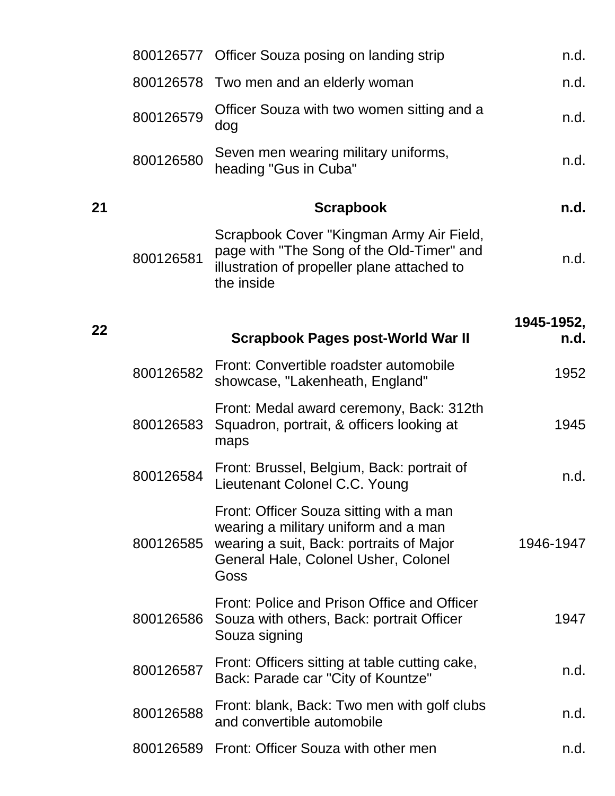|    |           | 800126577 Officer Souza posing on landing strip                                                                                                                             | n.d.       |
|----|-----------|-----------------------------------------------------------------------------------------------------------------------------------------------------------------------------|------------|
|    | 800126578 | Two men and an elderly woman                                                                                                                                                | n.d.       |
|    | 800126579 | Officer Souza with two women sitting and a<br>dog                                                                                                                           | n.d.       |
|    | 800126580 | Seven men wearing military uniforms,<br>heading "Gus in Cuba"                                                                                                               | n.d.       |
| 21 |           | <b>Scrapbook</b>                                                                                                                                                            | n.d.       |
|    | 800126581 | Scrapbook Cover "Kingman Army Air Field,<br>page with "The Song of the Old-Timer" and<br>illustration of propeller plane attached to<br>the inside                          | n.d.       |
|    |           |                                                                                                                                                                             | 1945-1952, |
| 22 |           | <b>Scrapbook Pages post-World War II</b>                                                                                                                                    | n.d.       |
|    | 800126582 | Front: Convertible roadster automobile<br>showcase, "Lakenheath, England"                                                                                                   | 1952       |
|    | 800126583 | Front: Medal award ceremony, Back: 312th<br>Squadron, portrait, & officers looking at<br>maps                                                                               | 1945       |
|    | 800126584 | Front: Brussel, Belgium, Back: portrait of<br>Lieutenant Colonel C.C. Young                                                                                                 | n.d.       |
|    | 800126585 | Front: Officer Souza sitting with a man<br>wearing a military uniform and a man<br>wearing a suit, Back: portraits of Major<br>General Hale, Colonel Usher, Colonel<br>Goss | 1946-1947  |
|    |           | Front: Police and Prison Office and Officer<br>800126586 Souza with others, Back: portrait Officer<br>Souza signing                                                         | 1947       |
|    | 800126587 | Front: Officers sitting at table cutting cake,<br>Back: Parade car "City of Kountze"                                                                                        | n.d.       |
|    | 800126588 | Front: blank, Back: Two men with golf clubs<br>and convertible automobile                                                                                                   | n.d.       |
|    |           | 800126589 Front: Officer Souza with other men                                                                                                                               | n.d.       |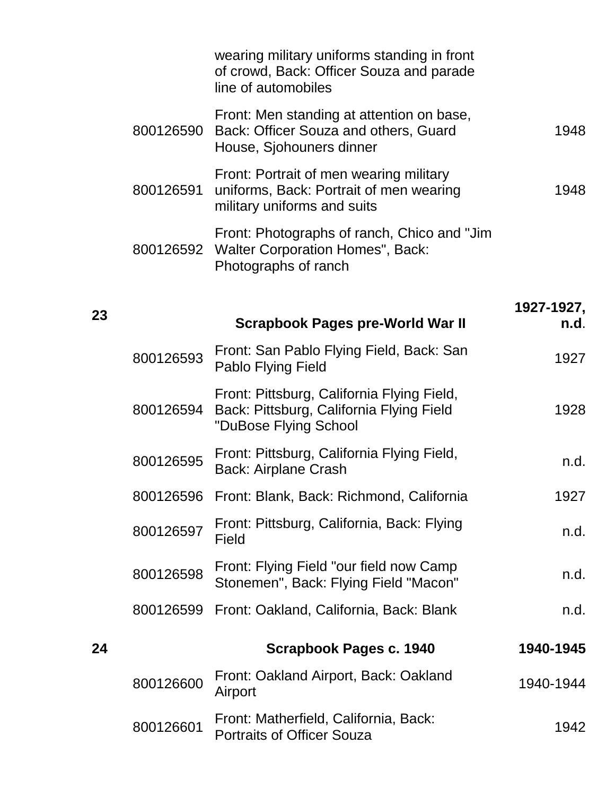|    |           | wearing military uniforms standing in front<br>of crowd, Back: Officer Souza and parade<br>line of automobiles    |            |
|----|-----------|-------------------------------------------------------------------------------------------------------------------|------------|
|    | 800126590 | Front: Men standing at attention on base,<br>Back: Officer Souza and others, Guard<br>House, Sjohouners dinner    | 1948       |
|    | 800126591 | Front: Portrait of men wearing military<br>uniforms, Back: Portrait of men wearing<br>military uniforms and suits | 1948       |
|    | 800126592 | Front: Photographs of ranch, Chico and "Jim"<br><b>Walter Corporation Homes", Back:</b><br>Photographs of ranch   |            |
| 23 |           |                                                                                                                   | 1927-1927, |
|    |           | <b>Scrapbook Pages pre-World War II</b>                                                                           | n.d.       |
|    | 800126593 | Front: San Pablo Flying Field, Back: San<br>Pablo Flying Field                                                    | 1927       |
|    | 800126594 | Front: Pittsburg, California Flying Field,<br>Back: Pittsburg, California Flying Field<br>"DuBose Flying School   | 1928       |
|    | 800126595 | Front: Pittsburg, California Flying Field,<br><b>Back: Airplane Crash</b>                                         | n.d.       |
|    |           | 800126596 Front: Blank, Back: Richmond, California                                                                | 1927       |
|    | 800126597 | Front: Pittsburg, California, Back: Flying<br>Field                                                               | n.d.       |
|    | 800126598 | Front: Flying Field "our field now Camp"<br>Stonemen", Back: Flying Field "Macon"                                 | n.d.       |
|    | 800126599 | Front: Oakland, California, Back: Blank                                                                           | n.d.       |
|    |           |                                                                                                                   |            |
| 24 |           | Scrapbook Pages c. 1940                                                                                           | 1940-1945  |
|    | 800126600 | Front: Oakland Airport, Back: Oakland<br>Airport                                                                  | 1940-1944  |
|    | 800126601 | Front: Matherfield, California, Back:<br><b>Portraits of Officer Souza</b>                                        | 1942       |